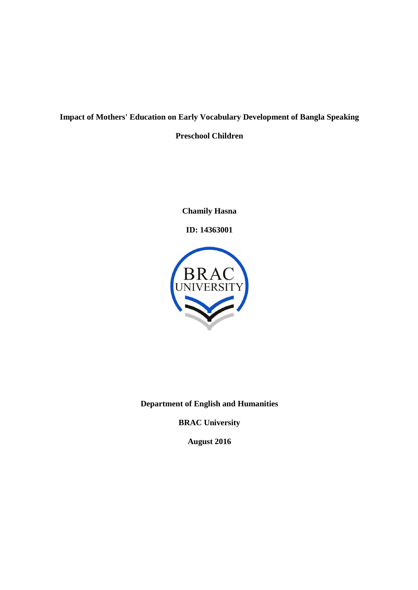## **Impact of Mothers' Education on Early Vocabulary Development of Bangla Speaking Preschool Children**

**Chamily Hasna**

**ID: 14363001**



**Department of English and Humanities**

**BRAC University**

**August 2016**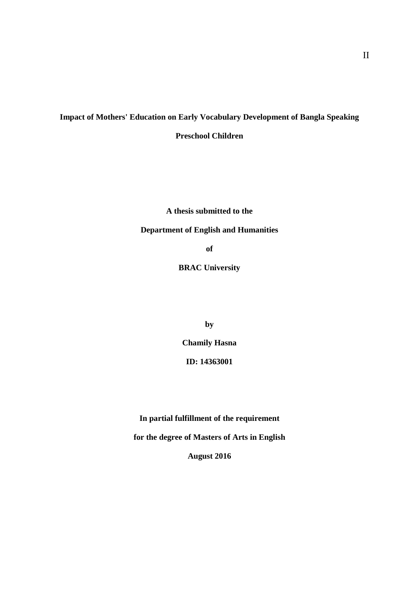## **Impact of Mothers' Education on Early Vocabulary Development of Bangla Speaking Preschool Children**

**A thesis submitted to the**

### **Department of English and Humanities**

**of**

**BRAC University**

**by**

**Chamily Hasna**

**ID: 14363001**

**In partial fulfillment of the requirement**

**for the degree of Masters of Arts in English**

**August 2016**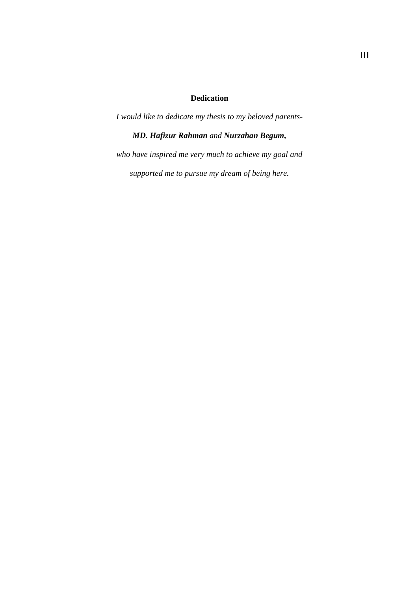### **Dedication**

*I would like to dedicate my thesis to my beloved parents-MD. Hafizur Rahman and Nurzahan Begum, who have inspired me very much to achieve my goal and supported me to pursue my dream of being here.*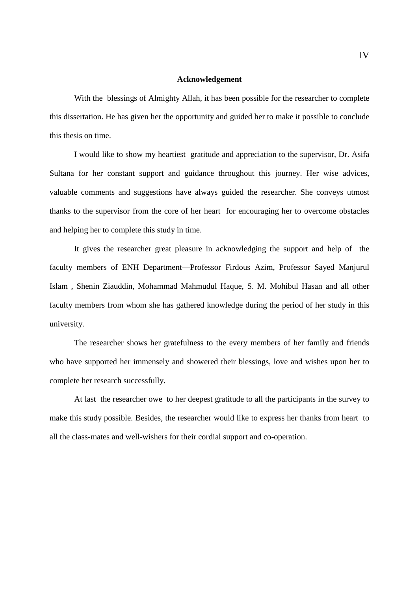#### **Acknowledgement**

With the blessings of Almighty Allah, it has been possible for the researcher to complete this dissertation. He has given her the opportunity and guided her to make it possible to conclude this thesis on time.

I would like to show my heartiest gratitude and appreciation to the supervisor, Dr. Asifa Sultana for her constant support and guidance throughout this journey. Her wise advices, valuable comments and suggestions have always guided the researcher. She conveys utmost thanks to the supervisor from the core of her heart for encouraging her to overcome obstacles and helping her to complete this study in time.

It gives the researcher great pleasure in acknowledging the support and help of the faculty members of ENH Department—Professor Firdous Azim, Professor Sayed Manjurul Islam , Shenin Ziauddin, Mohammad Mahmudul Haque, S. M. Mohibul Hasan and all other faculty members from whom she has gathered knowledge during the period of her study in this university.

The researcher shows her gratefulness to the every members of her family and friends who have supported her immensely and showered their blessings, love and wishes upon her to complete her research successfully.

At last the researcher owe to her deepest gratitude to all the participants in the survey to make this study possible. Besides, the researcher would like to express her thanks from heart to all the class-mates and well-wishers for their cordial support and co-operation.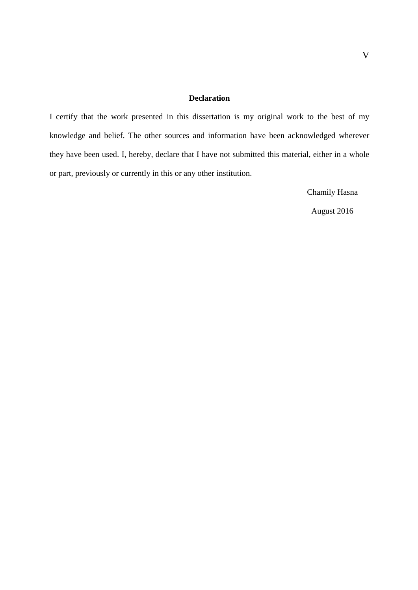#### **Declaration**

I certify that the work presented in this dissertation is my original work to the best of my knowledge and belief. The other sources and information have been acknowledged wherever they have been used. I, hereby, declare that I have not submitted this material, either in a whole or part, previously or currently in this or any other institution.

Chamily Hasna

August 2016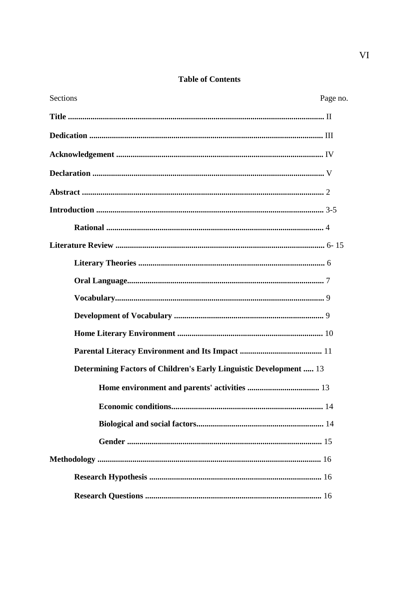### **Table of Contents**

| Sections<br>Page no.                                                      |  |
|---------------------------------------------------------------------------|--|
|                                                                           |  |
|                                                                           |  |
|                                                                           |  |
|                                                                           |  |
|                                                                           |  |
|                                                                           |  |
|                                                                           |  |
|                                                                           |  |
|                                                                           |  |
|                                                                           |  |
|                                                                           |  |
|                                                                           |  |
|                                                                           |  |
|                                                                           |  |
| <b>Determining Factors of Children's Early Linguistic Development </b> 13 |  |
|                                                                           |  |
|                                                                           |  |
|                                                                           |  |
|                                                                           |  |
|                                                                           |  |
|                                                                           |  |
|                                                                           |  |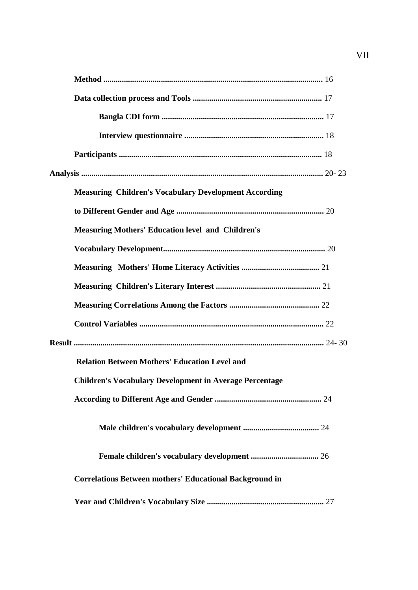| <b>Measuring Children's Vocabulary Development According</b>   |
|----------------------------------------------------------------|
|                                                                |
| <b>Measuring Mothers' Education level and Children's</b>       |
|                                                                |
|                                                                |
|                                                                |
|                                                                |
|                                                                |
|                                                                |
| <b>Relation Between Mothers' Education Level and</b>           |
| <b>Children's Vocabulary Development in Average Percentage</b> |
|                                                                |
|                                                                |
|                                                                |
| <b>Correlations Between mothers' Educational Background in</b> |
|                                                                |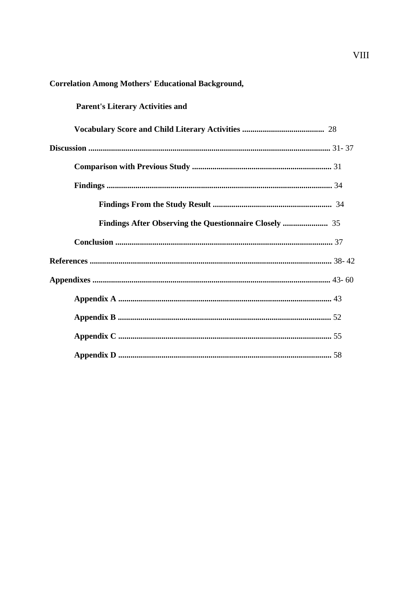# **Parent's Literary Activities and**

#### **Correlation Among Mothers' Educational Background,**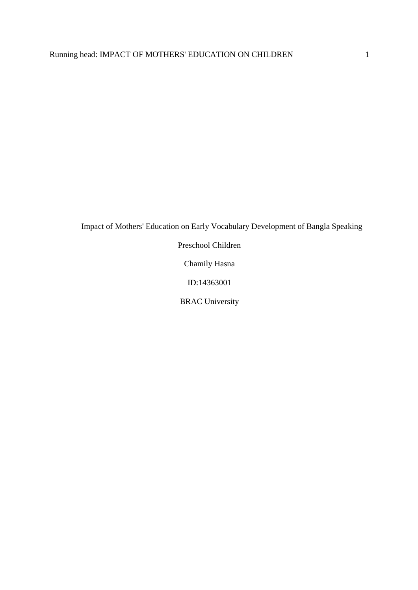Impact of Mothers' Education on Early Vocabulary Development of Bangla Speaking

Preschool Children

Chamily Hasna

ID:14363001

BRAC University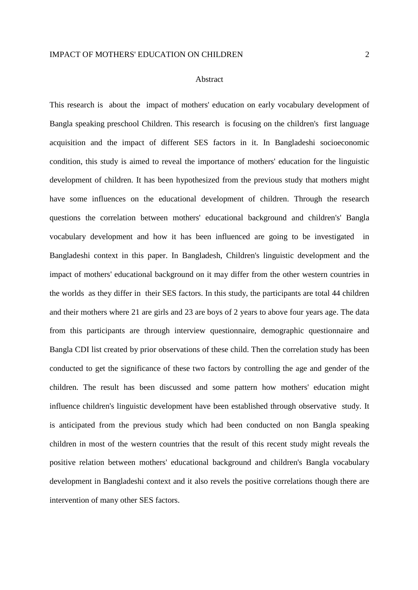#### Abstract

This research is about the impact of mothers' education on early vocabulary development of Bangla speaking preschool Children. This research is focusing on the children's first language acquisition and the impact of different SES factors in it. In Bangladeshi socioeconomic condition, this study is aimed to reveal the importance of mothers' education for the linguistic development of children. It has been hypothesized from the previous study that mothers might have some influences on the educational development of children. Through the research questions the correlation between mothers' educational background and children's' Bangla vocabulary development and how it has been influenced are going to be investigated in Bangladeshi context in this paper. In Bangladesh, Children's linguistic development and the impact of mothers' educational background on it may differ from the other western countries in the worlds as they differ in their SES factors. In this study, the participants are total 44 children and their mothers where 21 are girls and 23 are boys of 2 years to above four years age. The data from this participants are through interview questionnaire, demographic questionnaire and Bangla CDI list created by prior observations of these child. Then the correlation study has been conducted to get the significance of these two factors by controlling the age and gender of the children. The result has been discussed and some pattern how mothers' education might influence children's linguistic development have been established through observative study. It is anticipated from the previous study which had been conducted on non Bangla speaking children in most of the western countries that the result of this recent study might reveals the positive relation between mothers' educational background and children's Bangla vocabulary development in Bangladeshi context and it also revels the positive correlations though there are intervention of many other SES factors.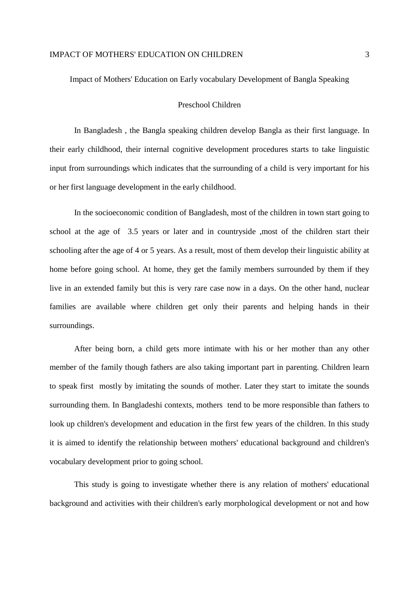Impact of Mothers' Education on Early vocabulary Development of Bangla Speaking

#### Preschool Children

In Bangladesh , the Bangla speaking children develop Bangla as their first language. In their early childhood, their internal cognitive development procedures starts to take linguistic input from surroundings which indicates that the surrounding of a child is very important for his or her first language development in the early childhood.

In the socioeconomic condition of Bangladesh, most of the children in town start going to school at the age of 3.5 years or later and in countryside ,most of the children start their schooling after the age of 4 or 5 years. As a result, most of them develop their linguistic ability at home before going school. At home, they get the family members surrounded by them if they live in an extended family but this is very rare case now in a days. On the other hand, nuclear families are available where children get only their parents and helping hands in their surroundings.

After being born, a child gets more intimate with his or her mother than any other member of the family though fathers are also taking important part in parenting. Children learn to speak first mostly by imitating the sounds of mother. Later they start to imitate the sounds surrounding them. In Bangladeshi contexts, mothers tend to be more responsible than fathers to look up children's development and education in the first few years of the children. In this study it is aimed to identify the relationship between mothers' educational background and children's vocabulary development prior to going school.

This study is going to investigate whether there is any relation of mothers' educational background and activities with their children's early morphological development or not and how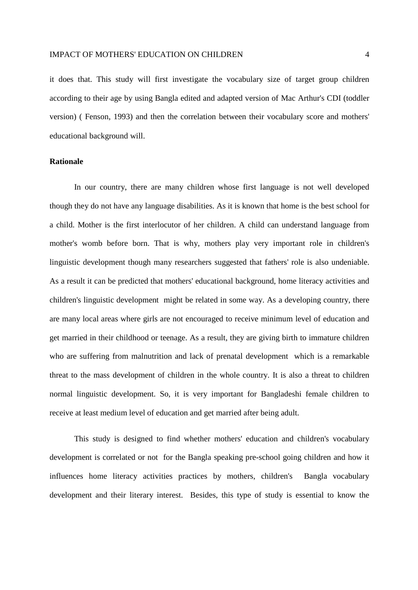it does that. This study will first investigate the vocabulary size of target group children according to their age by using Bangla edited and adapted version of Mac Arthur's CDI (toddler version) ( Fenson, 1993) and then the correlation between their vocabulary score and mothers' educational background will.

#### **Rationale**

In our country, there are many children whose first language is not well developed though they do not have any language disabilities. As it is known that home is the best school for a child. Mother is the first interlocutor of her children. A child can understand language from mother's womb before born. That is why, mothers play very important role in children's linguistic development though many researchers suggested that fathers' role is also undeniable. As a result it can be predicted that mothers' educational background, home literacy activities and children's linguistic development might be related in some way. As a developing country, there are many local areas where girls are not encouraged to receive minimum level of education and get married in their childhood or teenage. As a result, they are giving birth to immature children who are suffering from malnutrition and lack of prenatal development which is a remarkable threat to the mass development of children in the whole country. It is also a threat to children normal linguistic development. So, it is very important for Bangladeshi female children to receive at least medium level of education and get married after being adult.

This study is designed to find whether mothers' education and children's vocabulary development is correlated or not for the Bangla speaking pre-school going children and how it influences home literacy activities practices by mothers, children's Bangla vocabulary development and their literary interest. Besides, this type of study is essential to know the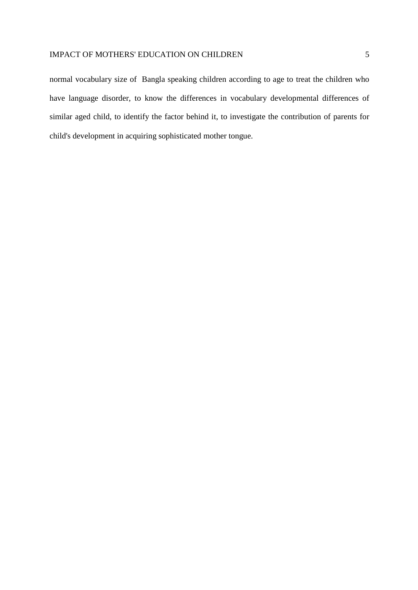normal vocabulary size of Bangla speaking children according to age to treat the children who have language disorder, to know the differences in vocabulary developmental differences of similar aged child, to identify the factor behind it, to investigate the contribution of parents for child's development in acquiring sophisticated mother tongue.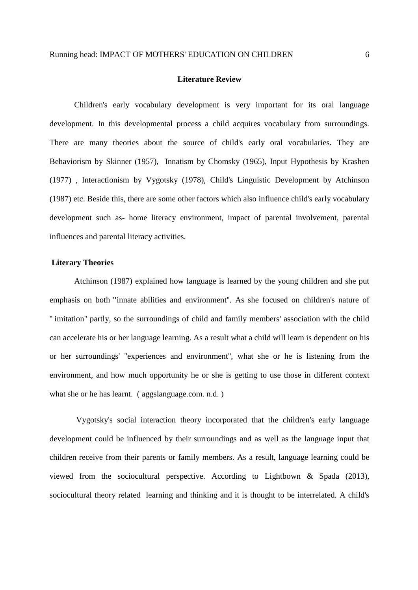#### **Literature Review**

Children's early vocabulary development is very important for its oral language development. In this developmental process a child acquires vocabulary from surroundings. There are many theories about the source of child's early oral vocabularies. They are Behaviorism by Skinner (1957), Innatism by Chomsky (1965), Input Hypothesis by Krashen (1977) , Interactionism by Vygotsky (1978), Child's Linguistic Development by Atchinson (1987) etc. Beside this, there are some other factors which also influence child's early vocabulary development such as- home literacy environment, impact of parental involvement, parental influences and parental literacy activities.

#### **Literary Theories**

Atchinson (1987) explained how language is learned by the young children and she put emphasis on both **''**innate abilities and environment''. As she focused on children's nature of '' imitation'' partly, so the surroundings of child and family members' association with the child can accelerate his or her language learning. As a result what a child will learn is dependent on his or her surroundings' ''experiences and environment'', what she or he is listening from the environment, and how much opportunity he or she is getting to use those in different context what she or he has learnt. (aggslanguage.com. n.d.)

 Vygotsky's social interaction theory incorporated that the children's early language development could be influenced by their surroundings and as well as the language input that children receive from their parents or family members. As a result, language learning could be viewed from the sociocultural perspective. According to Lightbown & Spada (2013), sociocultural theory related learning and thinking and it is thought to be interrelated. A child's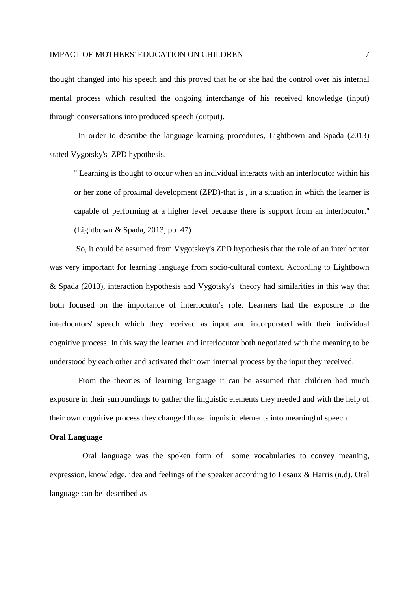thought changed into his speech and this proved that he or she had the control over his internal mental process which resulted the ongoing interchange of his received knowledge (input) through conversations into produced speech (output).

 In order to describe the language learning procedures, Lightbown and Spada (2013) stated Vygotsky's ZPD hypothesis.

'' Learning is thought to occur when an individual interacts with an interlocutor within his or her zone of proximal development (ZPD)-that is , in a situation in which the learner is capable of performing at a higher level because there is support from an interlocutor.'' (Lightbown & Spada, 2013, pp. 47)

 So, it could be assumed from Vygotskey's ZPD hypothesis that the role of an interlocutor was very important for learning language from socio-cultural context. According to Lightbown & Spada (2013), interaction hypothesis and Vygotsky's theory had similarities in this way that both focused on the importance of interlocutor's role. Learners had the exposure to the interlocutors' speech which they received as input and incorporated with their individual cognitive process. In this way the learner and interlocutor both negotiated with the meaning to be understood by each other and activated their own internal process by the input they received.

 From the theories of learning language it can be assumed that children had much exposure in their surroundings to gather the linguistic elements they needed and with the help of their own cognitive process they changed those linguistic elements into meaningful speech.

#### **Oral Language**

 Oral language was the spoken form of some vocabularies to convey meaning, expression, knowledge, idea and feelings of the speaker according to Lesaux & Harris (n.d). Oral language can be described as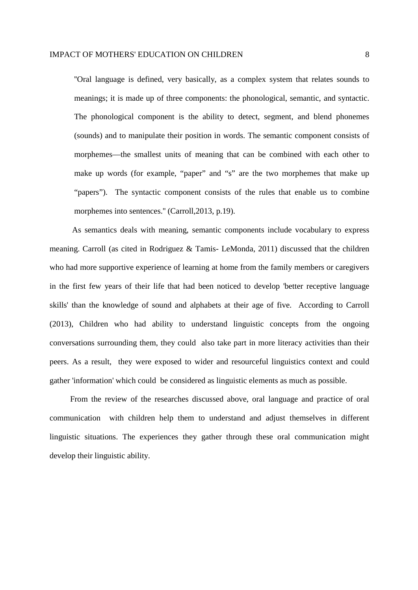''Oral language is defined, very basically, as a complex system that relates sounds to meanings; it is made up of three components: the phonological, semantic, and syntactic. The phonological component is the ability to detect, segment, and blend phonemes (sounds) and to manipulate their position in words. The semantic component consists of morphemes—the smallest units of meaning that can be combined with each other to make up words (for example, "paper" and "s" are the two morphemes that make up "papers"). The syntactic component consists of the rules that enable us to combine morphemes into sentences." (Carroll, 2013, p.19).

 As semantics deals with meaning, semantic components include vocabulary to express meaning. Carroll (as cited in Rodriguez & Tamis- LeMonda, 2011) discussed that the children who had more supportive experience of learning at home from the family members or caregivers in the first few years of their life that had been noticed to develop 'better receptive language skills' than the knowledge of sound and alphabets at their age of five. According to Carroll (2013), Children who had ability to understand linguistic concepts from the ongoing conversations surrounding them, they could also take part in more literacy activities than their peers. As a result, they were exposed to wider and resourceful linguistics context and could gather 'information' which could be considered as linguistic elements as much as possible.

 From the review of the researches discussed above, oral language and practice of oral communication with children help them to understand and adjust themselves in different linguistic situations. The experiences they gather through these oral communication might develop their linguistic ability.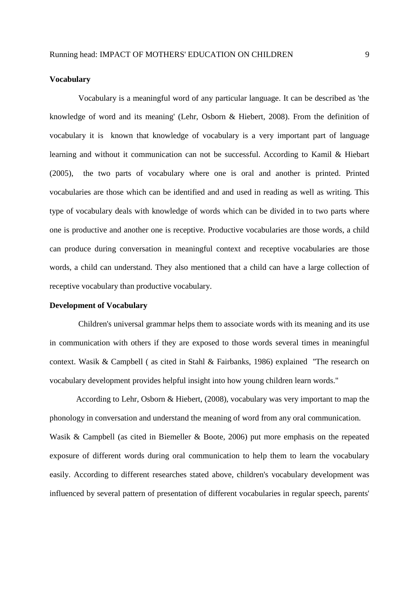#### **Vocabulary**

 Vocabulary is a meaningful word of any particular language. It can be described as 'the knowledge of word and its meaning' (Lehr, Osborn & Hiebert, 2008). From the definition of vocabulary it is known that knowledge of vocabulary is a very important part of language learning and without it communication can not be successful. According to Kamil & Hiebart (2005), the two parts of vocabulary where one is oral and another is printed. Printed vocabularies are those which can be identified and and used in reading as well as writing. This type of vocabulary deals with knowledge of words which can be divided in to two parts where one is productive and another one is receptive. Productive vocabularies are those words, a child can produce during conversation in meaningful context and receptive vocabularies are those words, a child can understand. They also mentioned that a child can have a large collection of receptive vocabulary than productive vocabulary.

#### **Development of Vocabulary**

 Children's universal grammar helps them to associate words with its meaning and its use in communication with others if they are exposed to those words several times in meaningful context. Wasik & Campbell ( as cited in Stahl & Fairbanks, 1986) explained ''The research on vocabulary development provides helpful insight into how young children learn words.''

 According to Lehr, Osborn & Hiebert, (2008), vocabulary was very important to map the phonology in conversation and understand the meaning of word from any oral communication. Wasik & Campbell (as cited in Biemeller & Boote, 2006) put more emphasis on the repeated exposure of different words during oral communication to help them to learn the vocabulary easily. According to different researches stated above, children's vocabulary development was influenced by several pattern of presentation of different vocabularies in regular speech, parents'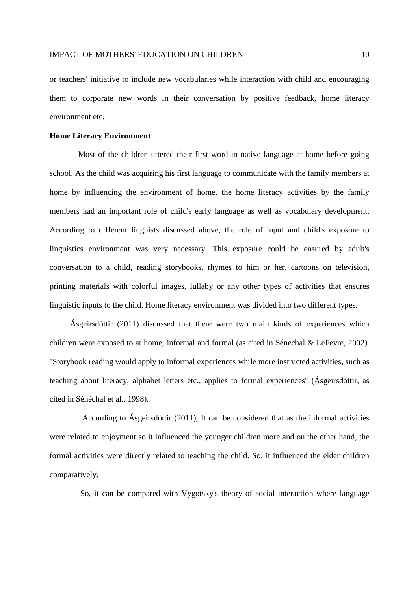or teachers' initiative to include new vocabularies while interaction with child and encouraging them to corporate new words in their conversation by positive feedback, home literacy environment etc.

#### **Home Literacy Environment**

 Most of the children uttered their first word in native language at home before going school. As the child was acquiring his first language to communicate with the family members at home by influencing the environment of home, the home literacy activities by the family members had an important role of child's early language as well as vocabulary development. According to different linguists discussed above, the role of input and child's exposure to linguistics environment was very necessary. This exposure could be ensured by adult's conversation to a child, reading storybooks, rhymes to him or her, cartoons on television, printing materials with colorful images, lullaby or any other types of activities that ensures linguistic inputs to the child. Home literacy environment was divided into two different types.

 Ásgeirsdóttir (2011) discussed that there were two main kinds of experiences which children were exposed to at home; informal and formal (as cited in Sénechal & LeFevre, 2002). ''Storybook reading would apply to informal experiences while more instructed activities, such as teaching about literacy, alphabet letters etc., applies to formal experiences'' (Ásgeirsdóttir, as cited in Sénéchal et al., 1998).

 According to Ásgeirsdóttir (2011), It can be considered that as the informal activities were related to enjoyment so it influenced the younger children more and on the other hand, the formal activities were directly related to teaching the child. So, it influenced the elder children comparatively.

So, it can be compared with Vygotsky's theory of social interaction where language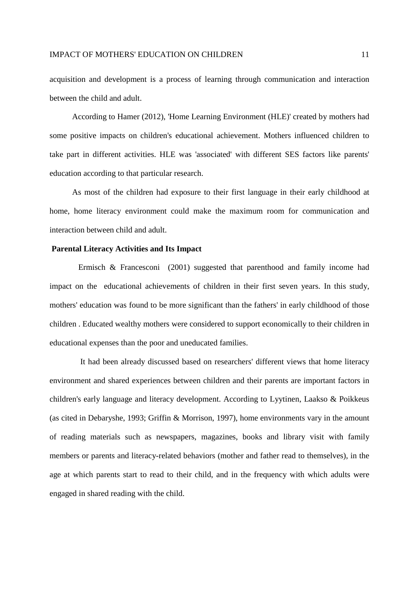acquisition and development is a process of learning through communication and interaction between the child and adult.

 According to Hamer (2012), 'Home Learning Environment (HLE)' created by mothers had some positive impacts on children's educational achievement. Mothers influenced children to take part in different activities. HLE was 'associated' with different SES factors like parents' education according to that particular research.

 As most of the children had exposure to their first language in their early childhood at home, home literacy environment could make the maximum room for communication and interaction between child and adult.

#### **Parental Literacy Activities and Its Impact**

 Ermisch & Francesconi (2001) suggested that parenthood and family income had impact on the educational achievements of children in their first seven years. In this study, mothers' education was found to be more significant than the fathers' in early childhood of those children . Educated wealthy mothers were considered to support economically to their children in educational expenses than the poor and uneducated families.

 It had been already discussed based on researchers' different views that home literacy environment and shared experiences between children and their parents are important factors in children's early language and literacy development. According to Lyytinen, Laakso & Poikkeus (as cited in Debaryshe, 1993; Griffin & Morrison, 1997), home environments vary in the amount of reading materials such as newspapers, magazines, books and library visit with family members or parents and literacy-related behaviors (mother and father read to themselves), in the age at which parents start to read to their child, and in the frequency with which adults were engaged in shared reading with the child.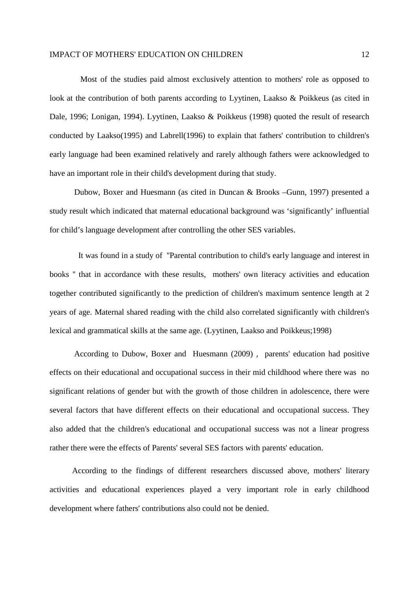Most of the studies paid almost exclusively attention to mothers' role as opposed to look at the contribution of both parents according to Lyytinen, Laakso & Poikkeus (as cited in Dale, 1996; Lonigan, 1994). Lyytinen, Laakso & Poikkeus (1998) quoted the result of research conducted by Laakso(1995) and Labrell(1996) to explain that fathers' contribution to children's early language had been examined relatively and rarely although fathers were acknowledged to have an important role in their child's development during that study.

Dubow, Boxer and Huesmann (as cited in Duncan & Brooks –Gunn, 1997) presented a study result which indicated that maternal educational background was 'significantly' influential for child's language development after controlling the other SES variables.

 It was found in a study of ''Parental contribution to child's early language and interest in books '' that in accordance with these results, mothers' own literacy activities and education together contributed significantly to the prediction of children's maximum sentence length at 2 years of age. Maternal shared reading with the child also correlated significantly with children's lexical and grammatical skills at the same age. (Lyytinen, Laakso and Poikkeus;1998)

According to Dubow, Boxer and Huesmann (2009) , parents' education had positive effects on their educational and occupational success in their mid childhood where there was no significant relations of gender but with the growth of those children in adolescence, there were several factors that have different effects on their educational and occupational success. They also added that the children's educational and occupational success was not a linear progress rather there were the effects of Parents' several SES factors with parents' education.

 According to the findings of different researchers discussed above, mothers' literary activities and educational experiences played a very important role in early childhood development where fathers' contributions also could not be denied.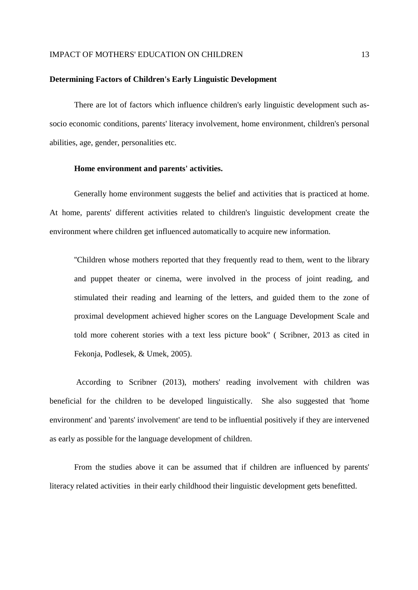#### **Determining Factors of Children's Early Linguistic Development**

There are lot of factors which influence children's early linguistic development such associo economic conditions, parents' literacy involvement, home environment, children's personal abilities, age, gender, personalities etc.

#### **Home environment and parents' activities.**

Generally home environment suggests the belief and activities that is practiced at home. At home, parents' different activities related to children's linguistic development create the environment where children get influenced automatically to acquire new information.

''Children whose mothers reported that they frequently read to them, went to the library and puppet theater or cinema, were involved in the process of joint reading, and stimulated their reading and learning of the letters, and guided them to the zone of proximal development achieved higher scores on the Language Development Scale and told more coherent stories with a text less picture book'' ( Scribner, 2013 as cited in Fekonja, Podlesek, & Umek, 2005).

 According to Scribner (2013), mothers' reading involvement with children was beneficial for the children to be developed linguistically. She also suggested that 'home environment' and 'parents' involvement' are tend to be influential positively if they are intervened as early as possible for the language development of children.

From the studies above it can be assumed that if children are influenced by parents' literacy related activities in their early childhood their linguistic development gets benefitted.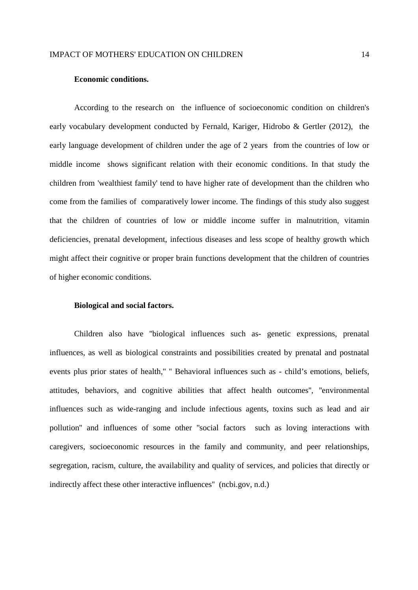#### **Economic conditions.**

According to the research on the influence of socioeconomic condition on children's early vocabulary development conducted by Fernald, Kariger, Hidrobo & Gertler (2012), the early language development of children under the age of 2 years from the countries of low or middle income shows significant relation with their economic conditions. In that study the children from 'wealthiest family' tend to have higher rate of development than the children who come from the families of comparatively lower income. The findings of this study also suggest that the children of countries of low or middle income suffer in malnutrition, vitamin deficiencies, prenatal development, infectious diseases and less scope of healthy growth which might affect their cognitive or proper brain functions development that the children of countries of higher economic conditions.

#### **Biological and social factors.**

Children also have ''biological influences such as- genetic expressions, prenatal influences, as well as biological constraints and possibilities created by prenatal and postnatal events plus prior states of health,'' '' Behavioral influences such as - child's emotions, beliefs, attitudes, behaviors, and cognitive abilities that affect health outcomes'', ''environmental influences such as wide-ranging and include infectious agents, toxins such as lead and air pollution'' and influences of some other ''social factors such as loving interactions with caregivers, socioeconomic resources in the family and community, and peer relationships, segregation, racism, culture, the availability and quality of services, and policies that directly or indirectly affect these other interactive influences'' (ncbi.gov, n.d.)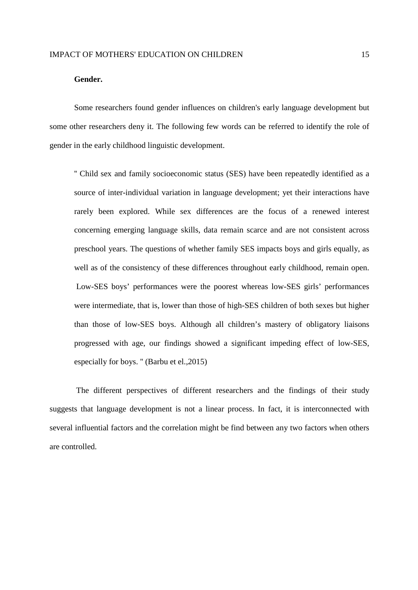#### **Gender.**

Some researchers found gender influences on children's early language development but some other researchers deny it. The following few words can be referred to identify the role of gender in the early childhood linguistic development.

'' Child sex and family socioeconomic status (SES) have been repeatedly identified as a source of inter-individual variation in language development; yet their interactions have rarely been explored. While sex differences are the focus of a renewed interest concerning emerging language skills, data remain scarce and are not consistent across preschool years. The questions of whether family SES impacts boys and girls equally, as well as of the consistency of these differences throughout early childhood, remain open. Low-SES boys' performances were the poorest whereas low-SES girls' performances were intermediate, that is, lower than those of high-SES children of both sexes but higher than those of low-SES boys. Although all children's mastery of obligatory liaisons progressed with age, our findings showed a significant impeding effect of low-SES, especially for boys. '' (Barbu et el.,2015)

 The different perspectives of different researchers and the findings of their study suggests that language development is not a linear process. In fact, it is interconnected with several influential factors and the correlation might be find between any two factors when others are controlled.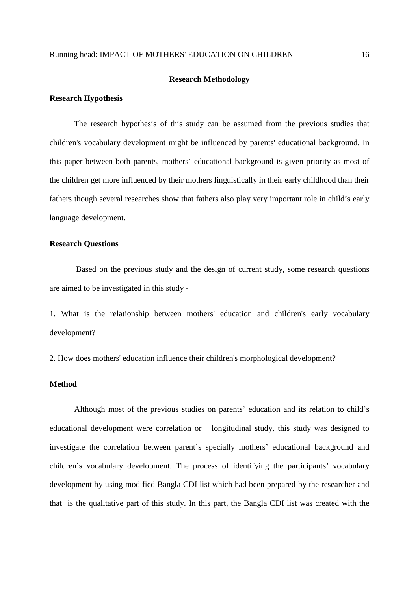#### **Research Methodology**

#### **Research Hypothesis**

The research hypothesis of this study can be assumed from the previous studies that children's vocabulary development might be influenced by parents' educational background. In this paper between both parents, mothers' educational background is given priority as most of the children get more influenced by their mothers linguistically in their early childhood than their fathers though several researches show that fathers also play very important role in child's early language development.

#### **Research Questions**

 Based on the previous study and the design of current study, some research questions are aimed to be investigated in this study -

1. What is the relationship between mothers' education and children's early vocabulary development?

2. How does mothers' education influence their children's morphological development?

#### **Method**

Although most of the previous studies on parents' education and its relation to child's educational development were correlation or longitudinal study, this study was designed to investigate the correlation between parent's specially mothers' educational background and children's vocabulary development. The process of identifying the participants' vocabulary development by using modified Bangla CDI list which had been prepared by the researcher and that is the qualitative part of this study. In this part, the Bangla CDI list was created with the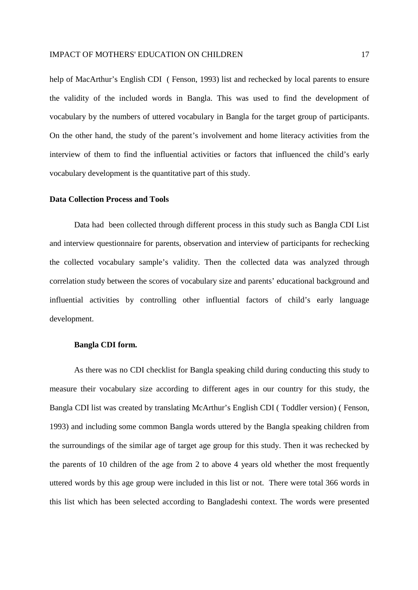help of MacArthur's English CDI (Fenson, 1993) list and rechecked by local parents to ensure the validity of the included words in Bangla. This was used to find the development of vocabulary by the numbers of uttered vocabulary in Bangla for the target group of participants. On the other hand, the study of the parent's involvement and home literacy activities from the interview of them to find the influential activities or factors that influenced the child's early vocabulary development is the quantitative part of this study.

#### **Data Collection Process and Tools**

Data had been collected through different process in this study such as Bangla CDI List and interview questionnaire for parents, observation and interview of participants for rechecking the collected vocabulary sample's validity. Then the collected data was analyzed through correlation study between the scores of vocabulary size and parents' educational background and influential activities by controlling other influential factors of child's early language development.

#### **Bangla CDI form.**

As there was no CDI checklist for Bangla speaking child during conducting this study to measure their vocabulary size according to different ages in our country for this study, the Bangla CDI list was created by translating McArthur's English CDI ( Toddler version) ( Fenson, 1993) and including some common Bangla words uttered by the Bangla speaking children from the surroundings of the similar age of target age group for this study. Then it was rechecked by the parents of 10 children of the age from 2 to above 4 years old whether the most frequently uttered words by this age group were included in this list or not. There were total 366 words in this list which has been selected according to Bangladeshi context. The words were presented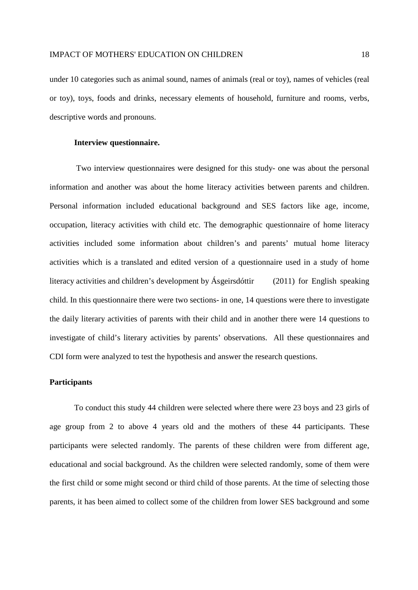under 10 categories such as animal sound, names of animals (real or toy), names of vehicles (real or toy), toys, foods and drinks, necessary elements of household, furniture and rooms, verbs, descriptive words and pronouns.

#### **Interview questionnaire.**

Two interview questionnaires were designed for this study- one was about the personal information and another was about the home literacy activities between parents and children. Personal information included educational background and SES factors like age, income, occupation, literacy activities with child etc. The demographic questionnaire of home literacy activities included some information about children's and parents' mutual home literacy activities which is a translated and edited version of a questionnaire used in a study of home literacy activities and children's development by Ásgeirsdóttir (2011) for English speaking child. In this questionnaire there were two sections- in one, 14 questions were there to investigate the daily literary activities of parents with their child and in another there were 14 questions to investigate of child's literary activities by parents' observations. All these questionnaires and CDI form were analyzed to test the hypothesis and answer the research questions.

#### **Participants**

To conduct this study 44 children were selected where there were 23 boys and 23 girls of age group from 2 to above 4 years old and the mothers of these 44 participants. These participants were selected randomly. The parents of these children were from different age, educational and social background. As the children were selected randomly, some of them were the first child or some might second or third child of those parents. At the time of selecting those parents, it has been aimed to collect some of the children from lower SES background and some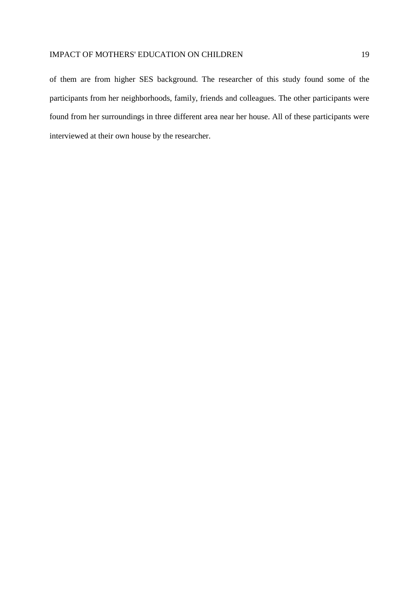of them are from higher SES background. The researcher of this study found some of the participants from her neighborhoods, family, friends and colleagues. The other participants were found from her surroundings in three different area near her house. All of these participants were interviewed at their own house by the researcher.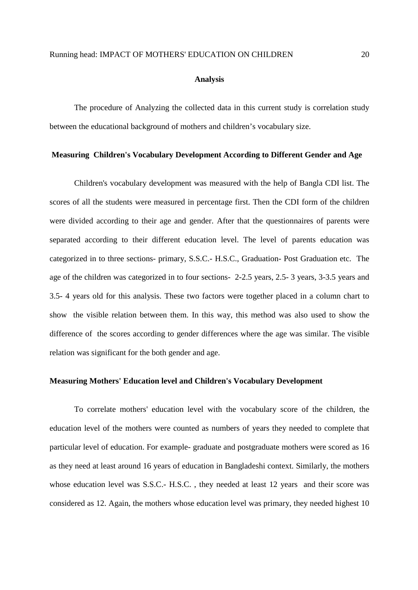#### **Analysis**

The procedure of Analyzing the collected data in this current study is correlation study between the educational background of mothers and children's vocabulary size.

#### **Measuring Children's Vocabulary Development According to Different Gender and Age**

Children's vocabulary development was measured with the help of Bangla CDI list. The scores of all the students were measured in percentage first. Then the CDI form of the children were divided according to their age and gender. After that the questionnaires of parents were separated according to their different education level. The level of parents education was categorized in to three sections- primary, S.S.C.- H.S.C., Graduation- Post Graduation etc. The age of the children was categorized in to four sections- 2-2.5 years, 2.5- 3 years, 3-3.5 years and 3.5- 4 years old for this analysis. These two factors were together placed in a column chart to show the visible relation between them. In this way, this method was also used to show the difference of the scores according to gender differences where the age was similar. The visible relation was significant for the both gender and age.

#### **Measuring Mothers' Education level and Children's Vocabulary Development**

To correlate mothers' education level with the vocabulary score of the children, the education level of the mothers were counted as numbers of years they needed to complete that particular level of education. For example- graduate and postgraduate mothers were scored as 16 as they need at least around 16 years of education in Bangladeshi context. Similarly, the mothers whose education level was S.S.C.- H.S.C. , they needed at least 12 years and their score was considered as 12. Again, the mothers whose education level was primary, they needed highest 10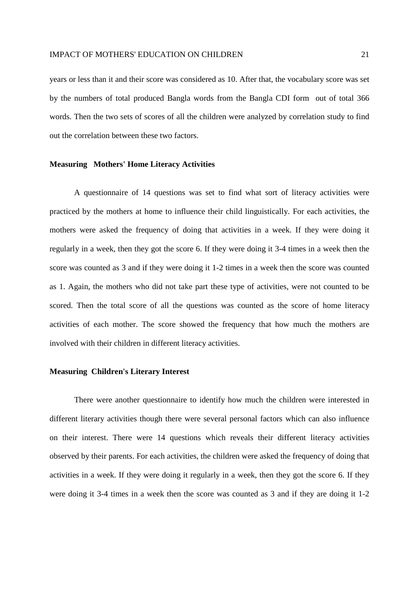years or less than it and their score was considered as 10. After that, the vocabulary score was set by the numbers of total produced Bangla words from the Bangla CDI form out of total 366 words. Then the two sets of scores of all the children were analyzed by correlation study to find out the correlation between these two factors.

#### **Measuring Mothers' Home Literacy Activities**

A questionnaire of 14 questions was set to find what sort of literacy activities were practiced by the mothers at home to influence their child linguistically. For each activities, the mothers were asked the frequency of doing that activities in a week. If they were doing it regularly in a week, then they got the score 6. If they were doing it 3-4 times in a week then the score was counted as 3 and if they were doing it 1-2 times in a week then the score was counted as 1. Again, the mothers who did not take part these type of activities, were not counted to be scored. Then the total score of all the questions was counted as the score of home literacy activities of each mother. The score showed the frequency that how much the mothers are involved with their children in different literacy activities.

#### **Measuring Children's Literary Interest**

There were another questionnaire to identify how much the children were interested in different literary activities though there were several personal factors which can also influence on their interest. There were 14 questions which reveals their different literacy activities observed by their parents. For each activities, the children were asked the frequency of doing that activities in a week. If they were doing it regularly in a week, then they got the score 6. If they were doing it 3-4 times in a week then the score was counted as 3 and if they are doing it 1-2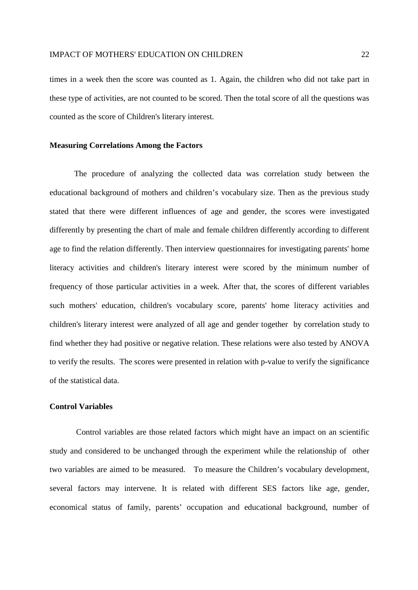times in a week then the score was counted as 1. Again, the children who did not take part in these type of activities, are not counted to be scored. Then the total score of all the questions was counted as the score of Children's literary interest.

#### **Measuring Correlations Among the Factors**

The procedure of analyzing the collected data was correlation study between the educational background of mothers and children's vocabulary size. Then as the previous study stated that there were different influences of age and gender, the scores were investigated differently by presenting the chart of male and female children differently according to different age to find the relation differently. Then interview questionnaires for investigating parents' home literacy activities and children's literary interest were scored by the minimum number of frequency of those particular activities in a week. After that, the scores of different variables such mothers' education, children's vocabulary score, parents' home literacy activities and children's literary interest were analyzed of all age and gender together by correlation study to find whether they had positive or negative relation. These relations were also tested by ANOVA to verify the results. The scores were presented in relation with p-value to verify the significance of the statistical data.

#### **Control Variables**

 Control variables are those related factors which might have an impact on an scientific study and considered to be unchanged through the experiment while the relationship of other two variables are aimed to be measured. To measure the Children's vocabulary development, several factors may intervene. It is related with different SES factors like age, gender, economical status of family, parents' occupation and educational background, number of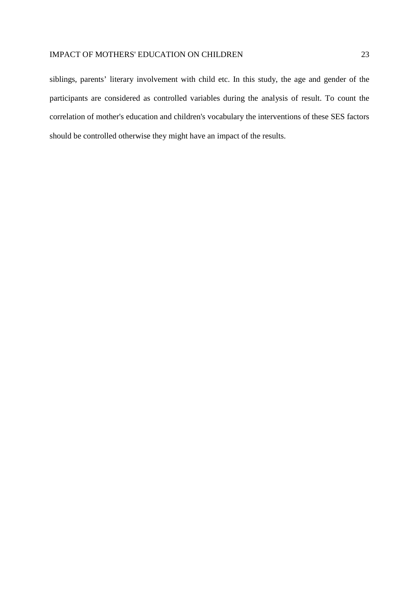siblings, parents' literary involvement with child etc. In this study, the age and gender of the participants are considered as controlled variables during the analysis of result. To count the correlation of mother's education and children's vocabulary the interventions of these SES factors should be controlled otherwise they might have an impact of the results.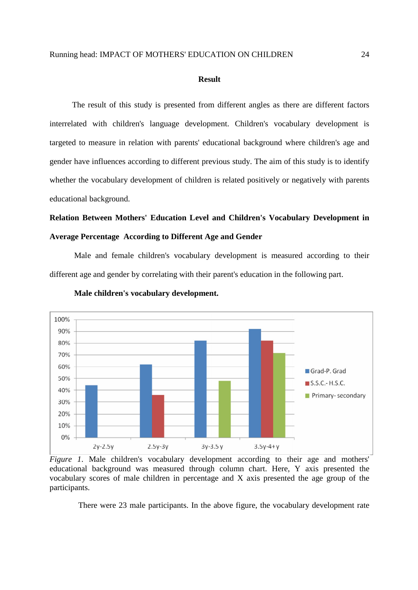#### **Result**

 The result of this study is presented from different angles as there are different factors interrelated with children's language development. Children's vocabulary development is targeted to measure in relation with parents' educational background where children's age and gender have influences according to different previous study. The aim of this study is to identify whether the vocabulary development of children is related positively or negatively with parents educational background.

## **Relation Between Mothers' Education Level and Children's Vocabulary Development in Average Percentage According to Different Age and Gender**

Male and female children's vocabulary development is measured according to their different age and gender by correlating with their parent's education in the following part.



 **Male children's vocabulary development.**

*Figure 1*. Male children's vocabulary development according to their age and mothers' educational background was measured through column chart. Here, Y axis presented the vocabulary scores of male children in percentage and X axis presented the age group of the participants.

There were 23 male participants. In the above figure, the vocabulary development rate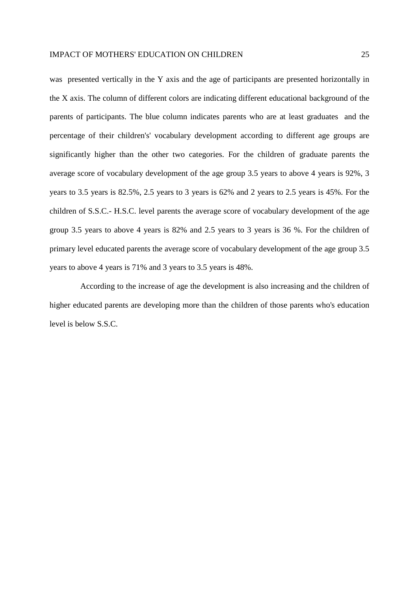was presented vertically in the Y axis and the age of participants are presented horizontally in the X axis. The column of different colors are indicating different educational background of the parents of participants. The blue column indicates parents who are at least graduates and the percentage of their children's' vocabulary development according to different age groups are significantly higher than the other two categories. For the children of graduate parents the average score of vocabulary development of the age group 3.5 years to above 4 years is 92%, 3 years to 3.5 years is 82.5%, 2.5 years to 3 years is 62% and 2 years to 2.5 years is 45%. For the children of S.S.C.- H.S.C. level parents the average score of vocabulary development of the age group 3.5 years to above 4 years is 82% and 2.5 years to 3 years is 36 %. For the children of primary level educated parents the average score of vocabulary development of the age group 3.5 years to above 4 years is 71% and 3 years to 3.5 years is 48%.

 According to the increase of age the development is also increasing and the children of higher educated parents are developing more than the children of those parents who's education level is below S.S.C.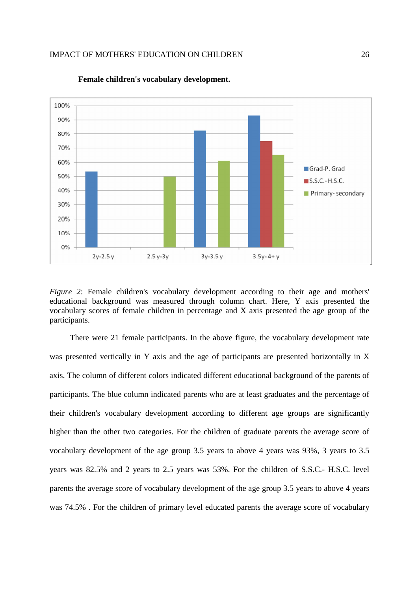

**Female children's vocabulary development.** 

*Figure 2*: Female children's vocabulary development according to their age and mothers' educational background was measured through column chart. Here, Y axis presented the vocabulary scores of female children in percentage and X axis presented the age group of the participants.

 There were 21 female participants. In the above figure, the vocabulary development rate was presented vertically in Y axis and the age of participants are presented horizontally in X axis. The column of different colors indicated different educational background of the parents of participants. The blue column indicated parents who are at least graduates and the percentage of their children's vocabulary development according to different age groups are significantly higher than the other two categories. For the children of graduate parents the average score of vocabulary development of the age group 3.5 years to above 4 years was 93%, 3 years to 3.5 years was 82.5% and 2 years to 2.5 years was 53%. For the children of S.S.C.- H.S.C. level parents the average score of vocabulary development of the age group 3.5 years to above 4 years was 74.5% . For the children of primary level educated parents the average score of vocabulary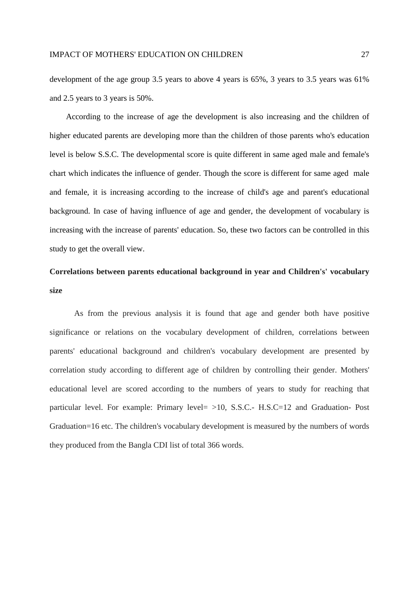development of the age group 3.5 years to above 4 years is 65%, 3 years to 3.5 years was 61% and 2.5 years to 3 years is 50%.

 According to the increase of age the development is also increasing and the children of higher educated parents are developing more than the children of those parents who's education level is below S.S.C. The developmental score is quite different in same aged male and female's chart which indicates the influence of gender. Though the score is different for same aged male and female, it is increasing according to the increase of child's age and parent's educational background. In case of having influence of age and gender, the development of vocabulary is increasing with the increase of parents' education. So, these two factors can be controlled in this study to get the overall view.

## **Correlations between parents educational background in year and Children's' vocabulary size**

As from the previous analysis it is found that age and gender both have positive significance or relations on the vocabulary development of children, correlations between parents' educational background and children's vocabulary development are presented by correlation study according to different age of children by controlling their gender. Mothers' educational level are scored according to the numbers of years to study for reaching that particular level. For example: Primary level =  $>10$ , S.S.C.- H.S.C = 12 and Graduation- Post Graduation=16 etc. The children's vocabulary development is measured by the numbers of words they produced from the Bangla CDI list of total 366 words.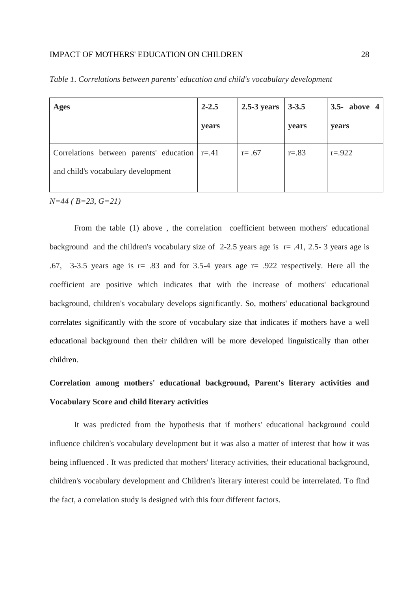| <b>Ages</b>                                                                                 | $2 - 2.5$<br>years | $2.5-3$ years | $3 - 3.5$<br>years | 3.5- above 4<br>years |
|---------------------------------------------------------------------------------------------|--------------------|---------------|--------------------|-----------------------|
| Correlations between parents' education $\vert$ r=.41<br>and child's vocabulary development |                    | $r = .67$     | $r = .83$          | $r = .922$            |

*Table 1. Correlations between parents' education and child's vocabulary development*

*N=44 ( B=23, G=21)*

From the table (1) above , the correlation coefficient between mothers' educational background and the children's vocabulary size of 2-2.5 years age is  $r = .41, 2.5 - 3$  years age is .67, 3-3.5 years age is  $r = .83$  and for 3.5-4 years age  $r = .922$  respectively. Here all the coefficient are positive which indicates that with the increase of mothers' educational background, children's vocabulary develops significantly. So, mothers' educational background correlates significantly with the score of vocabulary size that indicates if mothers have a well educational background then their children will be more developed linguistically than other children.

## **Correlation among mothers' educational background, Parent's literary activities and Vocabulary Score and child literary activities**

It was predicted from the hypothesis that if mothers' educational background could influence children's vocabulary development but it was also a matter of interest that how it was being influenced . It was predicted that mothers' literacy activities, their educational background, children's vocabulary development and Children's literary interest could be interrelated. To find the fact, a correlation study is designed with this four different factors.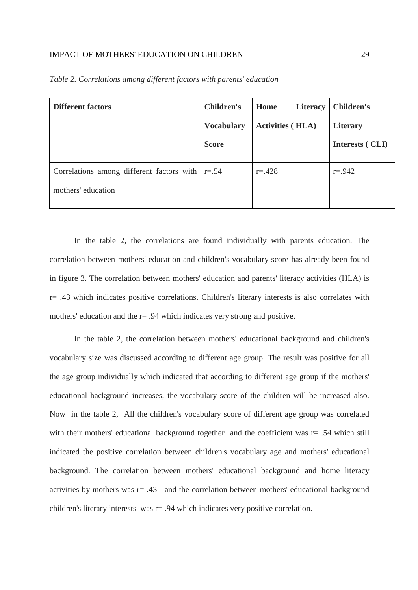| <b>Different factors</b>                                | <b>Children's</b> | Home<br>Literacy        | <b>Children's</b> |
|---------------------------------------------------------|-------------------|-------------------------|-------------------|
|                                                         | <b>Vocabulary</b> | <b>Activities (HLA)</b> | Literary          |
|                                                         | <b>Score</b>      |                         | Interests (CLI)   |
| Correlations among different factors with $\vert$ r=.54 |                   | $r = 428$               | $r = .942$        |
| mothers' education                                      |                   |                         |                   |

*Table 2. Correlations among different factors with parents' education*

In the table 2, the correlations are found individually with parents education. The correlation between mothers' education and children's vocabulary score has already been found in figure 3. The correlation between mothers' education and parents' literacy activities (HLA) is r= .43 which indicates positive correlations. Children's literary interests is also correlates with mothers' education and the  $r = .94$  which indicates very strong and positive.

In the table 2, the correlation between mothers' educational background and children's vocabulary size was discussed according to different age group. The result was positive for all the age group individually which indicated that according to different age group if the mothers' educational background increases, the vocabulary score of the children will be increased also. Now in the table 2, All the children's vocabulary score of different age group was correlated with their mothers' educational background together and the coefficient was  $r = .54$  which still indicated the positive correlation between children's vocabulary age and mothers' educational background. The correlation between mothers' educational background and home literacy activities by mothers was r= .43 and the correlation between mothers' educational background children's literary interests was r= .94 which indicates very positive correlation.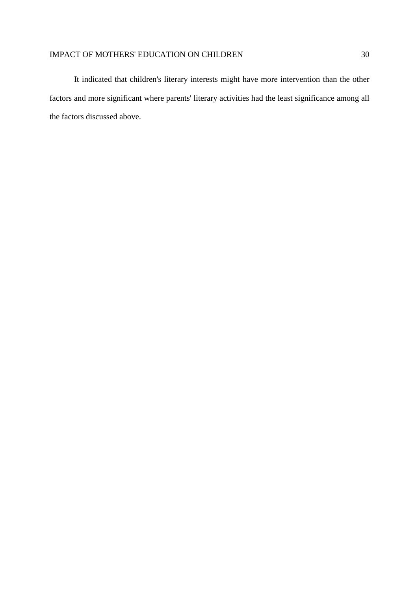It indicated that children's literary interests might have more intervention than the other factors and more significant where parents' literary activities had the least significance among all the factors discussed above.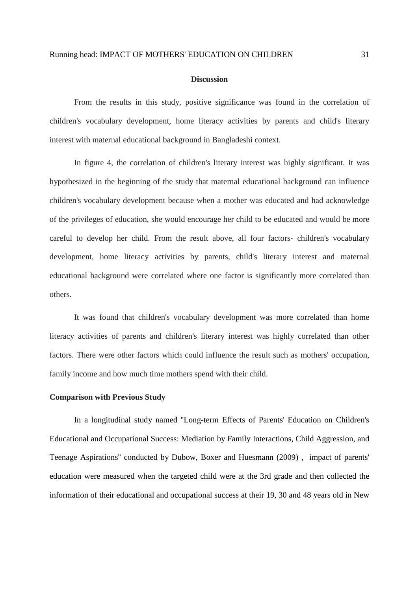#### **Discussion**

From the results in this study, positive significance was found in the correlation of children's vocabulary development, home literacy activities by parents and child's literary interest with maternal educational background in Bangladeshi context.

In figure 4, the correlation of children's literary interest was highly significant. It was hypothesized in the beginning of the study that maternal educational background can influence children's vocabulary development because when a mother was educated and had acknowledge of the privileges of education, she would encourage her child to be educated and would be more careful to develop her child. From the result above, all four factors- children's vocabulary development, home literacy activities by parents, child's literary interest and maternal educational background were correlated where one factor is significantly more correlated than others.

It was found that children's vocabulary development was more correlated than home literacy activities of parents and children's literary interest was highly correlated than other factors. There were other factors which could influence the result such as mothers' occupation, family income and how much time mothers spend with their child.

#### **Comparison with Previous Study**

In a longitudinal study named ''Long-term Effects of Parents' Education on Children's Educational and Occupational Success: Mediation by Family Interactions, Child Aggression, and Teenage Aspirations'' conducted by Dubow, Boxer and Huesmann (2009) , impact of parents' education were measured when the targeted child were at the 3rd grade and then collected the information of their educational and occupational success at their 19, 30 and 48 years old in New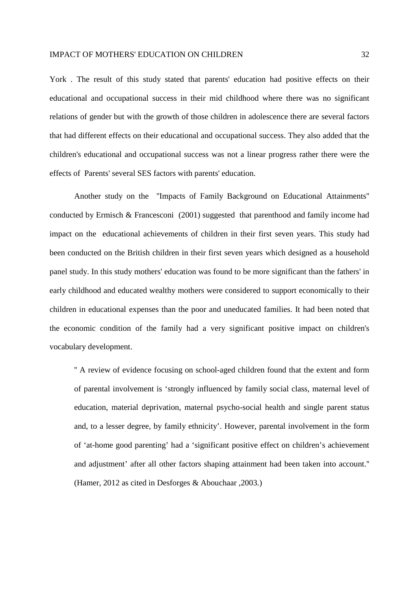York . The result of this study stated that parents' education had positive effects on their educational and occupational success in their mid childhood where there was no significant relations of gender but with the growth of those children in adolescence there are several factors that had different effects on their educational and occupational success. They also added that the children's educational and occupational success was not a linear progress rather there were the effects of Parents' several SES factors with parents' education.

Another study on the ''Impacts of Family Background on Educational Attainments'' conducted by Ermisch & Francesconi (2001) suggested that parenthood and family income had impact on the educational achievements of children in their first seven years. This study had been conducted on the British children in their first seven years which designed as a household panel study. In this study mothers' education was found to be more significant than the fathers' in early childhood and educated wealthy mothers were considered to support economically to their children in educational expenses than the poor and uneducated families. It had been noted that the economic condition of the family had a very significant positive impact on children's vocabulary development.

'' A review of evidence focusing on school-aged children found that the extent and form of parental involvement is 'strongly influenced by family social class, maternal level of education, material deprivation, maternal psycho-social health and single parent status and, to a lesser degree, by family ethnicity'. However, parental involvement in the form of 'at-home good parenting' had a 'significant positive effect on children's achievement and adjustment' after all other factors shaping attainment had been taken into account.'' (Hamer, 2012 as cited in Desforges & Abouchaar ,2003.)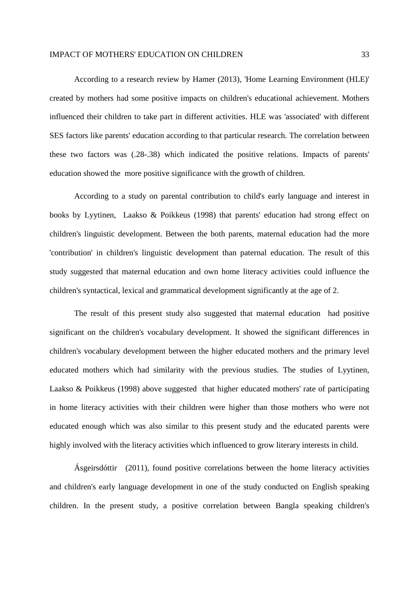According to a research review by Hamer (2013), 'Home Learning Environment (HLE)' created by mothers had some positive impacts on children's educational achievement. Mothers influenced their children to take part in different activities. HLE was 'associated' with different SES factors like parents' education according to that particular research. The correlation between these two factors was (.28-.38) which indicated the positive relations. Impacts of parents' education showed the more positive significance with the growth of children.

According to a study on parental contribution to child's early language and interest in books by Lyytinen, Laakso & Poikkeus (1998) that parents' education had strong effect on children's linguistic development. Between the both parents, maternal education had the more 'contribution' in children's linguistic development than paternal education. The result of this study suggested that maternal education and own home literacy activities could influence the children's syntactical, lexical and grammatical development significantly at the age of 2.

The result of this present study also suggested that maternal education had positive significant on the children's vocabulary development. It showed the significant differences in children's vocabulary development between the higher educated mothers and the primary level educated mothers which had similarity with the previous studies. The studies of Lyytinen, Laakso & Poikkeus (1998) above suggested that higher educated mothers' rate of participating in home literacy activities with their children were higher than those mothers who were not educated enough which was also similar to this present study and the educated parents were highly involved with the literacy activities which influenced to grow literary interests in child.

Ásgeirsdóttir (2011), found positive correlations between the home literacy activities and children's early language development in one of the study conducted on English speaking children. In the present study, a positive correlation between Bangla speaking children's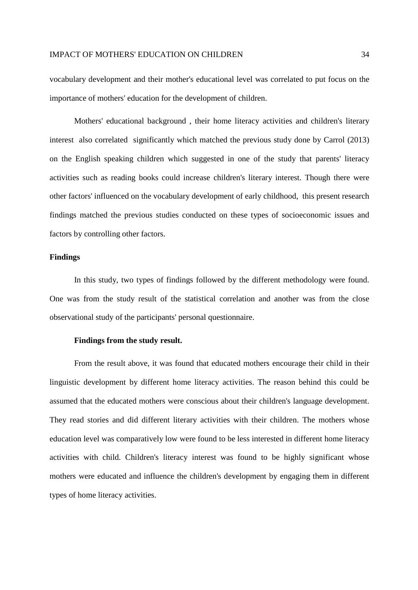vocabulary development and their mother's educational level was correlated to put focus on the importance of mothers' education for the development of children.

Mothers' educational background , their home literacy activities and children's literary interest also correlated significantly which matched the previous study done by Carrol (2013) on the English speaking children which suggested in one of the study that parents' literacy activities such as reading books could increase children's literary interest. Though there were other factors' influenced on the vocabulary development of early childhood, this present research findings matched the previous studies conducted on these types of socioeconomic issues and factors by controlling other factors.

#### **Findings**

In this study, two types of findings followed by the different methodology were found. One was from the study result of the statistical correlation and another was from the close observational study of the participants' personal questionnaire.

#### **Findings from the study result.**

From the result above, it was found that educated mothers encourage their child in their linguistic development by different home literacy activities. The reason behind this could be assumed that the educated mothers were conscious about their children's language development. They read stories and did different literary activities with their children. The mothers whose education level was comparatively low were found to be less interested in different home literacy activities with child. Children's literacy interest was found to be highly significant whose mothers were educated and influence the children's development by engaging them in different types of home literacy activities.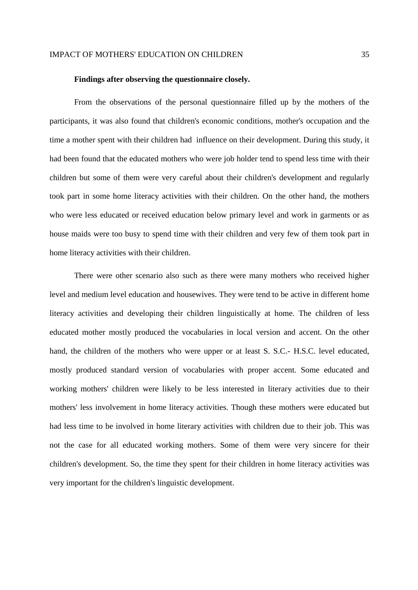#### **Findings after observing the questionnaire closely.**

From the observations of the personal questionnaire filled up by the mothers of the participants, it was also found that children's economic conditions, mother's occupation and the time a mother spent with their children had influence on their development. During this study, it had been found that the educated mothers who were job holder tend to spend less time with their children but some of them were very careful about their children's development and regularly took part in some home literacy activities with their children. On the other hand, the mothers who were less educated or received education below primary level and work in garments or as house maids were too busy to spend time with their children and very few of them took part in home literacy activities with their children.

There were other scenario also such as there were many mothers who received higher level and medium level education and housewives. They were tend to be active in different home literacy activities and developing their children linguistically at home. The children of less educated mother mostly produced the vocabularies in local version and accent. On the other hand, the children of the mothers who were upper or at least S. S.C.- H.S.C. level educated, mostly produced standard version of vocabularies with proper accent. Some educated and working mothers' children were likely to be less interested in literary activities due to their mothers' less involvement in home literacy activities. Though these mothers were educated but had less time to be involved in home literary activities with children due to their job. This was not the case for all educated working mothers. Some of them were very sincere for their children's development. So, the time they spent for their children in home literacy activities was very important for the children's linguistic development.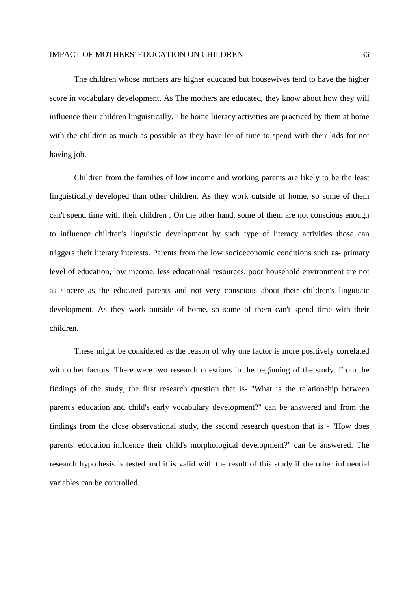The children whose mothers are higher educated but housewives tend to have the higher score in vocabulary development. As The mothers are educated, they know about how they will influence their children linguistically. The home literacy activities are practiced by them at home with the children as much as possible as they have lot of time to spend with their kids for not having job.

Children from the families of low income and working parents are likely to be the least linguistically developed than other children. As they work outside of home, so some of them can't spend time with their children . On the other hand, some of them are not conscious enough to influence children's linguistic development by such type of literacy activities those can triggers their literary interests. Parents from the low socioeconomic conditions such as- primary level of education, low income, less educational resources, poor household environment are not as sincere as the educated parents and not very conscious about their children's linguistic development. As they work outside of home, so some of them can't spend time with their children.

These might be considered as the reason of why one factor is more positively correlated with other factors. There were two research questions in the beginning of the study. From the findings of the study, the first research question that is- ''What is the relationship between parent's education and child's early vocabulary development?'' can be answered and from the findings from the close observational study, the second research question that is - ''How does parents' education influence their child's morphological development?'' can be answered. The research hypothesis is tested and it is valid with the result of this study if the other influential variables can be controlled.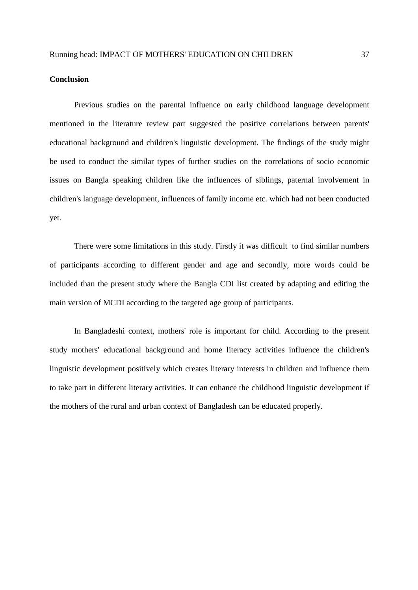#### **Conclusion**

Previous studies on the parental influence on early childhood language development mentioned in the literature review part suggested the positive correlations between parents' educational background and children's linguistic development. The findings of the study might be used to conduct the similar types of further studies on the correlations of socio economic issues on Bangla speaking children like the influences of siblings, paternal involvement in children's language development, influences of family income etc. which had not been conducted yet.

There were some limitations in this study. Firstly it was difficult to find similar numbers of participants according to different gender and age and secondly, more words could be included than the present study where the Bangla CDI list created by adapting and editing the main version of MCDI according to the targeted age group of participants.

In Bangladeshi context, mothers' role is important for child. According to the present study mothers' educational background and home literacy activities influence the children's linguistic development positively which creates literary interests in children and influence them to take part in different literary activities. It can enhance the childhood linguistic development if the mothers of the rural and urban context of Bangladesh can be educated properly.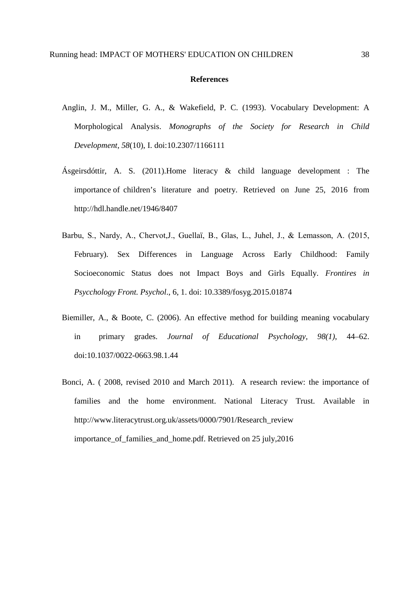#### **References**

- Anglin, J. M., Miller, G. A., & Wakefield, P. C. (1993). Vocabulary Development: A Morphological Analysis. *Monographs of the Society for Research in Child Development, 58*(10), I. doi:10.2307/1166111
- Ásgeirsdóttir, A. S. (2011).Home literacy & child language development : The importance of children's literature and poetry. Retrieved on June 25, 2016 from http://hdl.handle.net/1946/8407
- Barbu, S., Nardy, A., Chervot,J., Guellaї, B., Glas, L., Juhel, J., & Lemasson, A. (2015, February). Sex Differences in Language Across Early Childhood: Family Socioeconomic Status does not Impact Boys and Girls Equally. *Frontires in Psycchology Front. Psychol*., 6, 1. doi: 10.3389/fosyg.2015.01874
- Biemiller, A., & Boote, C. (2006). An effective method for building meaning vocabulary in primary grades. *Journal of Educational Psychology, 98(1)*, 44–62. doi:10.1037/0022-0663.98.1.44
- Bonci, A. ( 2008, revised 2010 and March 2011). A research review: the importance of families and the home environment. National Literacy Trust. Available in http://www.literacytrust.org.uk/assets/0000/7901/Research\_review importance of families and home.pdf. Retrieved on 25 july,2016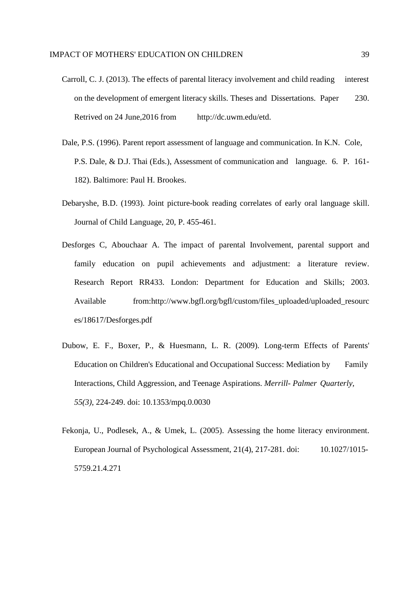- Carroll, C. J. (2013). The effects of parental literacy involvement and child reading interest on the development of emergent literacy skills. Theses and Dissertations. Paper 230. Retrived on 24 June,2016 from http://dc.uwm.edu/etd.
- Dale, P.S. (1996). Parent report assessment of language and communication. In K.N. Cole, P.S. Dale, & D.J. Thai (Eds.), Assessment of communication and language. 6. P. 161- 182). Baltimore: Paul H. Brookes.
- Debaryshe, B.D. (1993). Joint picture-book reading correlates of early oral language skill. Journal of Child Language, 20, P. 455-461.
- Desforges C, Abouchaar A. The impact of parental Involvement, parental support and family education on pupil achievements and adjustment: a literature review. Research Report RR433. London: Department for Education and Skills; 2003. Available from:http://www.bgfl.org/bgfl/custom/files\_uploaded/uploaded\_resourc es/18617/Desforges.pdf
- Dubow, E. F., Boxer, P., & Huesmann, L. R. (2009). Long-term Effects of Parents' Education on Children's Educational and Occupational Success: Mediation by Family Interactions, Child Aggression, and Teenage Aspirations. *Merrill- Palmer Quarterly, 55(3)*, 224-249. doi: 10.1353/mpq.0.0030
- Fekonja, U., Podlesek, A., & Umek, L. (2005). Assessing the home literacy environment. European Journal of Psychological Assessment, 21(4), 217-281. doi: 10.1027/1015- 5759.21.4.271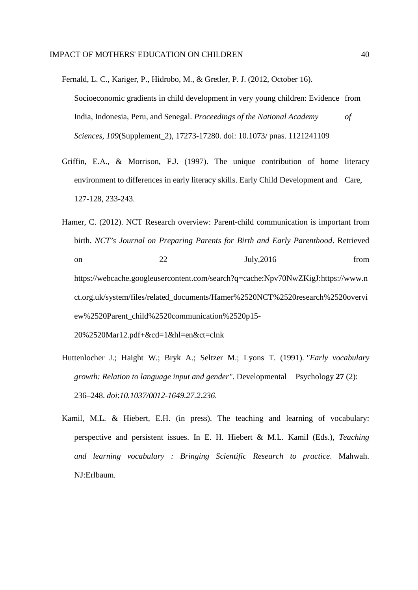- Fernald, L. C., Kariger, P., Hidrobo, M., & Gretler, P. J. (2012, October 16). Socioeconomic gradients in child development in very young children: Evidence from India, Indonesia, Peru, and Senegal. *Proceedings of the National Academy of Sciences, 109*(Supplement\_2), 17273-17280. doi: 10.1073/ pnas. 1121241109
- Griffin, E.A., & Morrison, F.J. (1997). The unique contribution of home literacy environment to differences in early literacy skills. Early Child Development and Care, 127-128, 233-243.
- Hamer, C. (2012). NCT Research overview: Parent-child communication is important from birth. *NCT's Journal on Preparing Parents for Birth and Early Parenthood*. Retrieved on 22 July,2016 from https://webcache.googleusercontent.com/search?q=cache:Npv70NwZKigJ:https://www.n ct.org.uk/system/files/related\_documents/Hamer%2520NCT%2520research%2520overvi ew%2520Parent\_child%2520communication%2520p15- 20%2520Mar12.pdf+&cd=1&hl=en&ct=clnk
- Huttenlocher J.; Haight W.; Bryk A.; Seltzer M.; Lyons T. (1991). *"Early vocabulary growth: Relation to language input and gender"*. Developmental Psychology **27** (2): 236–248. *doi*:*10.1037/0012-1649.27.2.236*.
- Kamil, M.L. & Hiebert, E.H. (in press). The teaching and learning of vocabulary: perspective and persistent issues. In E. H. Hiebert & M.L. Kamil (Eds.), *Teaching and learning vocabulary : Bringing Scientific Research to practice*. Mahwah. NJ:Erlbaum.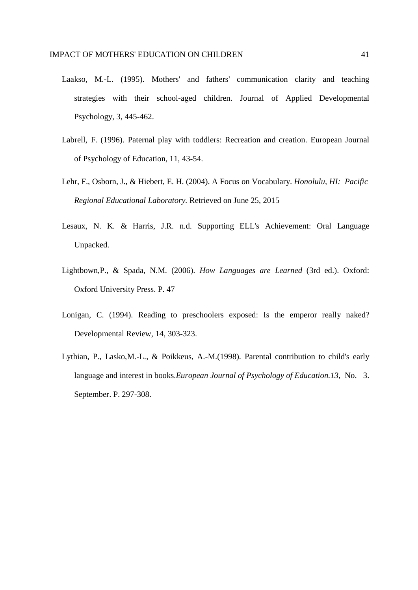- Laakso, M.-L. (1995). Mothers' and fathers' communication clarity and teaching strategies with their school-aged children. Journal of Applied Developmental Psychology, 3, 445-462.
- Labrell, F. (1996). Paternal play with toddlers: Recreation and creation. European Journal of Psychology of Education, 11, 43-54.
- Lehr, F., Osborn, J., & Hiebert, E. H. (2004). A Focus on Vocabulary. *Honolulu, HI: Pacific Regional Educational Laboratory.* Retrieved on June 25, 2015
- Lesaux, N. K. & Harris, J.R. n.d. Supporting ELL's Achievement: Oral Language Unpacked.
- Lightbown,P., & Spada, N.M. (2006). *How Languages are Learned* (3rd ed.). Oxford: Oxford University Press. P. 47
- Lonigan, C. (1994). Reading to preschoolers exposed: Is the emperor really naked? Developmental Review, 14, 303-323.
- Lythian, P., Lasko,M.-L., & Poikkeus, A.-M.(1998). Parental contribution to child's early language and interest in books.*European Journal of Psychology of Education.13*, No. 3. September. P. 297-308.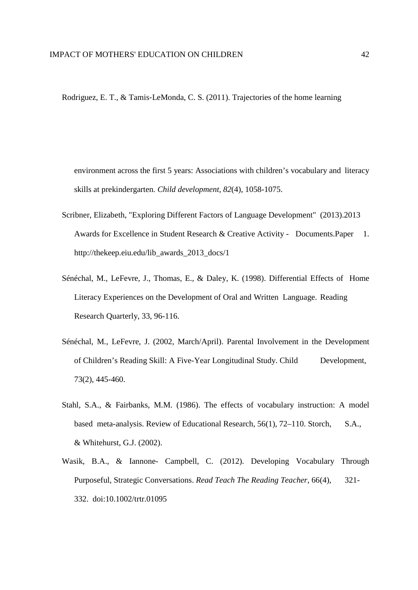Rodriguez, E. T., & Tamis‐LeMonda, C. S. (2011). Trajectories of the home learning

environment across the first 5 years: Associations with children's vocabulary and literacy skills at prekindergarten. *Child development*, *82*(4), 1058-1075.

- Scribner, Elizabeth, "Exploring Different Factors of Language Development" (2013).2013 Awards for Excellence in Student Research & Creative Activity - Documents.Paper 1. http://thekeep.eiu.edu/lib\_awards\_2013\_docs/1
- Sénéchal, M., LeFevre, J., Thomas, E., & Daley, K. (1998). Differential Effects of Home Literacy Experiences on the Development of Oral and Written Language. Reading Research Quarterly, 33, 96-116.
- Sénéchal, M., LeFevre, J. (2002, March/April). Parental Involvement in the Development of Children's Reading Skill: A Five-Year Longitudinal Study. Child Development, 73(2), 445-460.
- Stahl, S.A., & Fairbanks, M.M. (1986). The effects of vocabulary instruction: A model based meta-analysis. Review of Educational Research, 56(1), 72–110. Storch, S.A., & Whitehurst, G.J. (2002).
- Wasik, B.A., & Iannone- Campbell, C. (2012). Developing Vocabulary Through Purposeful, Strategic Conversations. *Read Teach The Reading Teacher*, 66(4), 321- 332. doi:10.1002/trtr.01095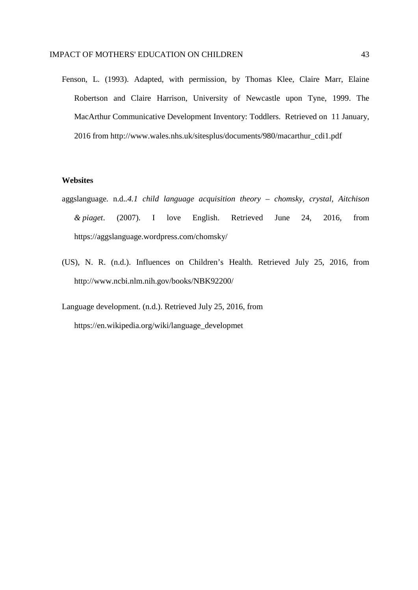Fenson, L. (1993). Adapted, with permission, by Thomas Klee, Claire Marr, Elaine Robertson and Claire Harrison, University of Newcastle upon Tyne, 1999. The MacArthur Communicative Development Inventory: Toddlers. Retrieved on 11 January, 2016 from http://www.wales.nhs.uk/sitesplus/documents/980/macarthur\_cdi1.pdf

#### **Websites**

- aggslanguage. n.d.*.4.1 child language acquisition theory chomsky, crystal, Aitchison & piaget*. (2007). I love English. Retrieved June 24, 2016, from https://aggslanguage.wordpress.com/chomsky/
- (US), N. R. (n.d.). Influences on Children's Health. Retrieved July 25, 2016, from http://www.ncbi.nlm.nih.gov/books/NBK92200/

Language development. (n.d.). Retrieved July 25, 2016, from https://en.wikipedia.org/wiki/language\_developmet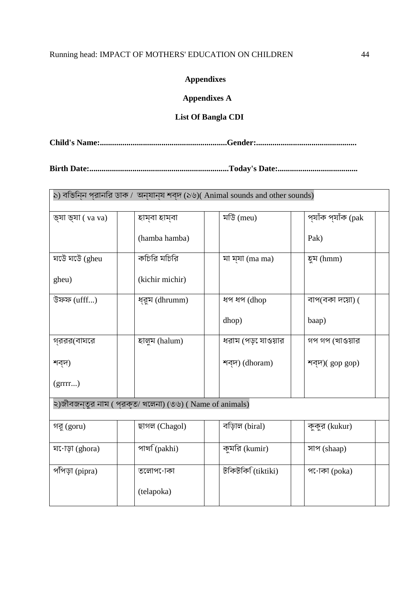## Running head: IMPACT OF MOTHERS' EDUCATION ON CHILDREN 44

### **Appendixes**

### **Appendixes A**

#### **List Of Bangla CDI**

**Child's Name:..............................................................Gender:.................................................**

**Birth Date:....................................................................Today's Date:.......................................**

| ১) বভিনিন প্রানরি ডাক / অন্যান্য শব্দ (১৬)( Animal sounds and other sounds) |                                                          |                     |                    |
|-----------------------------------------------------------------------------|----------------------------------------------------------|---------------------|--------------------|
| ভ্যা ভ্যা ( va va)                                                          | হাম্বা হাম্বা                                            | মডি (meu)           | প্যাঁক প্যাঁক (pak |
|                                                                             | (hamba hamba)                                            |                     | Pak)               |
| ঘটে ঘটে (gheu                                                               | কচিরি মচিরি                                              | মা ম্যা (ma ma)     | হুম $(hmm)$        |
| gheu)                                                                       | (kichir michir)                                          |                     |                    |
| উফফ $(uff)$                                                                 | ধ্রুম (dhrumm)                                           | ধপ ধপ (dhop         | বাপ(বকা দয়ো) (    |
|                                                                             |                                                          | dhop)               | baap)              |
| গ্ররর(বাঘরে                                                                 | হালুম (halum)                                            | ধরাম (পড় েযাওয়ার  | গপ গপ (খাওয়ার     |
| শব্দ)                                                                       |                                                          | শব্দ) (dhoram)      | শব্দ)(gop gop)     |
| (grrrr)                                                                     |                                                          |                     |                    |
|                                                                             | ২)জীবজন্তুর নাম ( প্রকৃত/ খলেনা) (৩৬) ( Name of animals) |                     |                    |
| গরু (goru)                                                                  | ছাগল (Chagol)                                            | বড়িাল (biral)      | কুকুর (kukur)      |
| ঘ•োড়া (ghora)                                                              | পাৰ্খা (pakhi)                                           | কুমরি (kumir)       | সাপ (shaap)        |
| পঁপিড়া (pipra)                                                             | তলোপ∙োকা                                                 | টকিটকি $(t$ iktiki) | প•োকা (poka)       |
|                                                                             | (telapoka)                                               |                     |                    |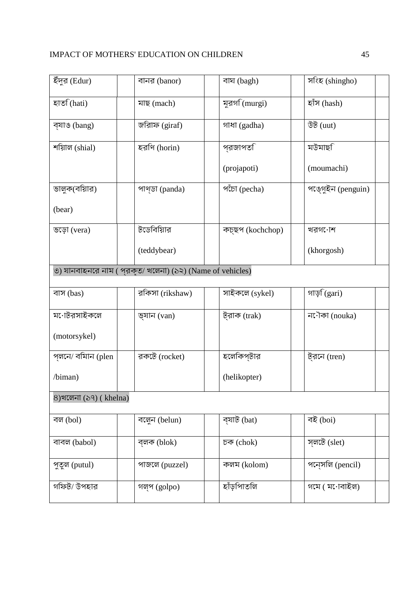| ইঁদুর (Edur)           | বানর (banor)                                              | বাঘ (bagh)       | সংহ (shingho)             |  |
|------------------------|-----------------------------------------------------------|------------------|---------------------------|--|
| হাত (hati)             | মাছ (mach)                                                | মুরগ $f(murgi)$  | হাঁস (hash)               |  |
| ব্যাঙ (bang)           | জরিাফ (giraf)                                             | গাধা (gadha)     | উট $(uut)$                |  |
| শয়িাল (shial)         | হরণি (horin)                                              | প্রজাপত <b>ি</b> | মউমাছ <b>ি</b>            |  |
|                        |                                                           | (projapoti)      | (moumachi)                |  |
| ভালুক(বয়িার)          | পাণ্ডা (panda)                                            | পঁচো (pecha)     | পঙ্গুইন (penguin)         |  |
| (bear)                 |                                                           |                  |                           |  |
| ভড়ো (vera)            | টডেবিয়াির                                                | কচ্ছপ (kochchop) | খরগ∙োশ                    |  |
|                        | (teddybear)                                               |                  | (khorgosh)                |  |
|                        | ৩) যানবাহনরে নাম ( প্রকৃত/ খলেনা) (১২) (Name of vehicles) |                  |                           |  |
| বাস (bas)              | রকিসা (rikshaw)                                           | সাইকলে (sykel)   | গাড় (gari)               |  |
| ম•োটরসাইকলে            | ভ্যান (van)                                               | ট্রাক (trak)     | ন <sup>7</sup> লৈ (nouka) |  |
| (motorsykel)           |                                                           |                  |                           |  |
| প্লনে/ বমািন (plen     | রকটে (rocket)                                             | হলেকিপ্টার       | ট্রনে (tren)              |  |
| /biman)                |                                                           | (helikopter)     |                           |  |
| ৪)খলেনা (১৭) ( khelna) |                                                           |                  |                           |  |
| বল (bol)               | বলেুন (belun)                                             | ব্যাট (bat)      | বই (boi)                  |  |
| বাবল (babol)           | ব্লক (blok)                                               | চক (chok)        | স্লটে (slet)              |  |
| পুতুল (putul)          | পাজলে (puzzel)                                            | কলম (kolom)      | পন্সেলি (pencil)          |  |
| গফিট/ উপহার            | গল্প (golpo)                                              | হাঁড়পািতলি      | গমে ( ম∙োবাইল)            |  |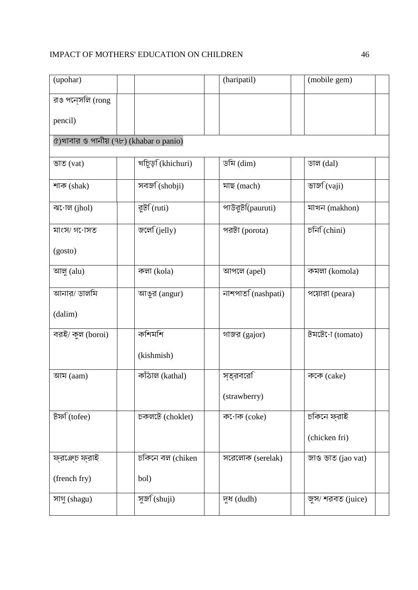| (upohar)                               |                           | (haripatil)       | (mobile gem)                                               |
|----------------------------------------|---------------------------|-------------------|------------------------------------------------------------|
| রঙ পন্সলি (rong                        |                           |                   |                                                            |
| pencil)                                |                           |                   |                                                            |
| ৫)খাবার ও পানীয় (৭৮) (khabar o panio) |                           |                   |                                                            |
| ভাত $(vat)$                            | খচিড় (khichuri)          | ডমি $(dim)$       | ডাল $(dal)$                                                |
| শাক (shak)                             | সবজ <sup>(shobji)</sup>   | মাছ (mach)        | ভাজ $\widehat{C}(vai)$                                     |
| ঝ•োল $(jhol)$                          | রুট $f$ (ruti)            | পাউরুট(pauruti)   | মাখন (makhon)                                              |
| মাংস⁄ গ∙োসত                            | জলে (jelly)               | পরটা (porota)     | $\widehat{\mathsf{D} \mathsf{F} \mathsf{F}}(\text{chini})$ |
| (gosto)                                |                           |                   |                                                            |
| আলু (alu)                              | কলা (kola)                | আপলে (apel)       | কমলা (komola)                                              |
| আনার/ ডালমি                            | আঙুর (angur)              | নাশপাত (nashpati) | পয়োরা (peara)                                             |
| (dalim)                                |                           |                   |                                                            |
| বরই/ কুল (boroi)                       | কশিমশি                    | গাজর (gajor)      | টমটে $\cdot$ া (tomato)                                    |
|                                        | (kishmish)                |                   |                                                            |
| আম $($                                 | কাঁঠাল (kathal)           | স্ত্রবরেরি        | ককে (cake)                                                 |
|                                        |                           | (strawberry)      |                                                            |
| টফ $\widehat{c}$ (tofee)               | চকলটে (choklet)           | ক•োক (coke)       | চকিনে ফ্রাই                                                |
|                                        |                           |                   | (chicken fri)                                              |
| ফ্রঞ্চ ফ্রাই                           | চকিনে বল (chiken          | সরেলোক (serelak)  | জাও ভাত (jao vat)                                          |
| (french fry)                           | bol)                      |                   |                                                            |
| সাগু (shagu)                           | সুজ $\widehat{S}$ (shuji) | দুধ (dudh)        | জুস/ শরবত (juice)                                          |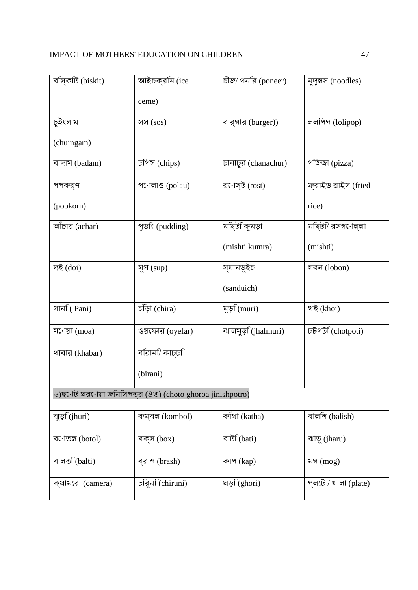| বস্কটি (biskit)         | আইচক্রমি (ice                                            | $\overline{B}$ জ/ পনরি (poneer) | নুদুলস (noodles)              |
|-------------------------|----------------------------------------------------------|---------------------------------|-------------------------------|
|                         | ceme)                                                    |                                 |                               |
| চুইংগাম                 | সস $($ sos $)$                                           | বার্গার (burger))               | ললপিপ (lolipop)               |
| (chuingam)              |                                                          |                                 |                               |
| বাদাম (badam)           | চপিস (chips)                                             | চানাচুর (chanachur)             | পজিজা (pizza)                 |
| পপকর্ণ                  | প•োলাও (polau)                                           | র•োস্ট $(rost)$                 | ফ্রাইড রাইস (fried            |
| (popkorn)               |                                                          |                                 | rice)                         |
| আঁচার (achar)           | পুড <sup>ি</sup> (pudding)                               | মষ্টি কুমড়া                    | মষ্টিী রসগ∙োল্লা              |
|                         |                                                          | (mishti kumra)                  | (mishti)                      |
| দই (doi)                | সুপ (sup)                                                | স্যানডুইচ                       | লবন (lobon)                   |
|                         |                                                          | (sanduich)                      |                               |
| পান $\widehat{C}$ Pani) | চড়া (chira)                                             | মুড় (muri)                     | খই (khoi)                     |
| ম•োয়া $(moa)$          | ওয়ফোর $(oyefar)$                                        | ঝালমুড় (jhalmuri)              | চটপট $\widehat{c}$ (chotpoti) |
| খাবার (khabar)          | বরিান $\sqrt{2}$ কাচ্চ $\sqrt{2}$                        |                                 |                               |
|                         | (birani)                                                 |                                 |                               |
|                         | ৬)ছ•োট ঘর•োয়া জনিসিপত্র (৪৩) (choto ghoroa jinishpotro) |                                 |                               |
| ঝুড়ি(jhuri)            | কম্বল (kombol)                                           | কাঁথা (katha)                   | বালশি (balish)                |
| ব•োতল (botol)           | বক্স (box)                                               | বাট <sup>(bati)</sup>           | ঝাড়ু (jharu)                 |
| বালত (balti)            | ব্রাশ (brash)                                            | কাপ (kap)                       | মগ $(mog)$                    |
| ক্যামরো (camera)        | চরিুন (chiruni)                                          | ঘড় (ghori)                     | প্লটে / থালা $(plate)$        |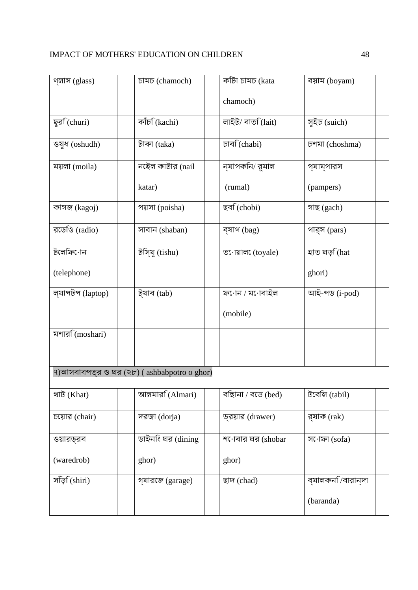| গ্লাস (glass)           | চামচ (chamoch)                                      | কাঁটা চামচ (kata<br>chamoch) | বয়াম (boyam)               |  |
|-------------------------|-----------------------------------------------------|------------------------------|-----------------------------|--|
|                         |                                                     |                              |                             |  |
| ছুর্রা(churi)           | কাঁচ $\widehat{C}$ (kachi)                          | লাইট/ বাতি(lait)             | সুইচ (suich)                |  |
| ওষুধ (oshudh)           | টাকা $(taka)$                                       | চাৰ্ব (chabi)                | চশমা (choshma)              |  |
| ময়লা (moila)           | নইেল কাটার (nail                                    | ন্যাপকনি/ রুমাল              | প্যাম্পারস                  |  |
|                         | katar)                                              | (rumal)                      | (pampers)                   |  |
| কাগজ (kagoj)            | পয়সা (poisha)                                      | ছব্ (chobi)                  | গাছ (gach)                  |  |
| রডেওি (radio)           | সাবান (shaban)                                      | ব্যাগ (bag)                  | পার্স (pars)                |  |
| টলেফি∙োন                | টসি্যু (tishu)                                      | ত•োয়াল (toyale)             | হাত ঘড় (hat                |  |
| (telephone)             |                                                     |                              | ghori)                      |  |
| ল্যাপটপ (laptop)        | ট্যাব $(tab)$                                       | ফ•োন / ম•োবাইল               | আই-পড (i-pod)               |  |
|                         |                                                     | (mobile)                     |                             |  |
| মশার <b>ি(moshari</b> ) |                                                     |                              |                             |  |
|                         |                                                     |                              |                             |  |
|                         | ৭)আসবাবপত্র ও ঘর $(\forall b)$ (ashbabpotro o ghor) |                              |                             |  |
| খাট (Khat)              | আলমার $\widehat{A}$ (Almari)                        | বছিানা / বডে (bed)           | টবেলি $(tabil)$             |  |
| চয়োর (chair)           | দরজা (dorja)                                        | ড্রয়ার (drawer)             | র্যাক (rak)                 |  |
| ওয়ারড্রব               | ডাইনংি ঘর (dining                                   | শ•োবার ঘর (shobar            | স•োফা $(sofa)$              |  |
| (waredrob)              | ghor)                                               | ghor)                        |                             |  |
| সাঁড় (shiri)           | গ্যারজে (garage)                                    | ছাদ (chad)                   | ব্যালকন $\sqrt{a}$ বারান্দা |  |
|                         |                                                     |                              | (baranda)                   |  |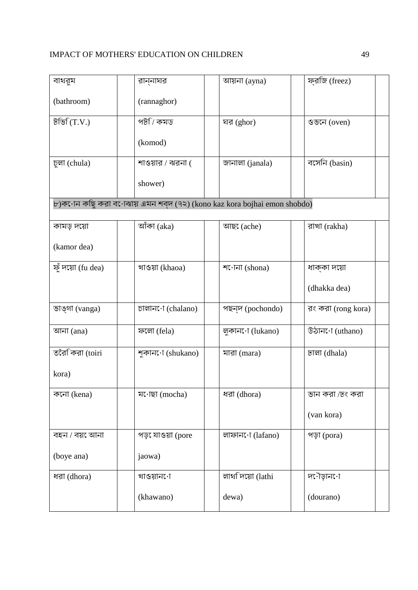| বাথরুম            | রান্নাঘর                                                                 | আয়না $(ayna)$        | ফ্রজি (freez)      |
|-------------------|--------------------------------------------------------------------------|-----------------------|--------------------|
| (bathroom)        | (rannaghor)                                                              |                       |                    |
| টভি $(T.V.)$      | পট7ি কমড                                                                 | ঘর (ghor)             | ওভনে $(oven)$      |
|                   | (komod)                                                                  |                       |                    |
| চুলা (chula)      | শাওয়ার / ঝরনা (                                                         | জানালা (janala)       | বসেনি (basin)      |
|                   | shower)                                                                  |                       |                    |
|                   | ৮)ক•োন কছিু করা ব•োঝায় এমন শব্দ (৭২) (kono kaz kora bojhai emon shobdo) |                       |                    |
| কামড় দয়ো        | আঁকা $(aka)$                                                             | আছ <b>ে</b> (ache)    | রাখা (rakha)       |
| (kamor dea)       |                                                                          |                       |                    |
| ফুঁ দয়ো (fu dea) | খাওয়া (khaoa)                                                           | শ $\cdot$ ানা (shona) | ধাক্কা দয়ো        |
|                   |                                                                          |                       | (dhakka dea)       |
| ভাঙ্গা (vanga)    | চালান∙ো (chalano)                                                        | পছন্দ (pochondo)      | রং করা (rong kora) |
| আনা $(ana)$       | ফলো (fela)                                                               | লুকান∙ো (lukano)      | উঠান•ো (uthano)    |
| তরৈকিরা (toiri    | শুকান∙ো (shukano)                                                        | মারা (mara)           | ঢালা (dhala)       |
| kora)             |                                                                          |                       |                    |
| কনো (kena)        | ম•োছা (mocha)                                                            | ধরা (dhora)           | ভান করা /ঢং করা    |
|                   |                                                                          |                       | (van kora)         |
| বহন / বয় েআনা    | পড় যাওয়া (pore                                                         | লাফান•ো (lafano)      | পড়া (pora)        |
| (boye ana)        | jaowa)                                                                   |                       |                    |
| ধরা (dhora)       | খাওয়ান∙ো                                                                | লাথদিয়ো (lathi       | দৌড়ান∙ো           |
|                   | (khawano)                                                                | dewa)                 | (dourano)          |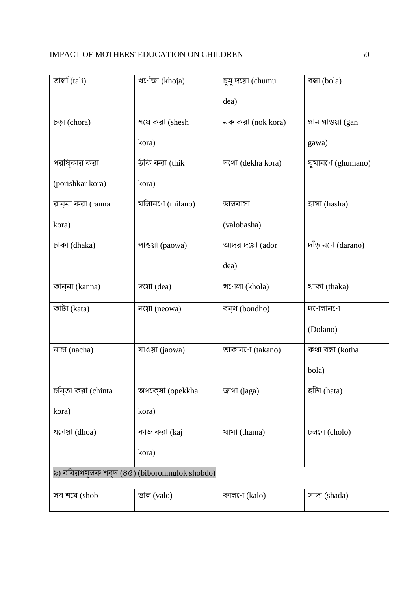| খ•োঁজা (khoja)                               | চুমু দয়ো (chumu  | বলা (bola)                                                           |  |  |  |
|----------------------------------------------|-------------------|----------------------------------------------------------------------|--|--|--|
|                                              | dea)              |                                                                      |  |  |  |
| শষে করা (shesh                               | নক করা (nok kora) | গান গাওয়া (gan                                                      |  |  |  |
| kora)                                        |                   | gawa)                                                                |  |  |  |
| ঠকি করা (thik                                | দখো (dekha kora)  | घूयांनाः (ghumano)                                                   |  |  |  |
| kora)                                        |                   |                                                                      |  |  |  |
| মলিান•ো (milano)                             | ভালবাসা           | হাসা (hasha)                                                         |  |  |  |
|                                              | (valobasha)       |                                                                      |  |  |  |
| পাওয়া (paowa)                               | আদর দয়ো (ador    | দাঁড়ান∙ো (darano)                                                   |  |  |  |
|                                              | dea)              |                                                                      |  |  |  |
| দয়ো (dea)                                   | খ•োলা (khola)     | থাকা (thaka)                                                         |  |  |  |
| নয়ো (neowa)                                 | বন্ধ (bondho)     | দ•োলান∙ো                                                             |  |  |  |
|                                              |                   | (Dolano)                                                             |  |  |  |
| যাওয়া (jaowa)                               | তাকান∙ো (takano)  | কথা বলা (kotha                                                       |  |  |  |
|                                              |                   | bola)                                                                |  |  |  |
| অপকে্ষা (opekkha                             | জাগা (jaga)       | $\overline{\overline{\text{e}^{\dagger}}\overline{\text{b}}}$ (hata) |  |  |  |
| kora)                                        |                   |                                                                      |  |  |  |
| কাজ করা (kaj                                 | থামা (thama)      | $\overline{p}$ ল $\cdot$ া (cholo)                                   |  |  |  |
| kora)                                        |                   |                                                                      |  |  |  |
| ৯) ববিরণমূলক শব্দ (৪৫) (biboronmulok shobdo) |                   |                                                                      |  |  |  |
| ভাল $(valo)$                                 | কাল•ো (kalo)      | সাদা (shada)                                                         |  |  |  |
|                                              |                   |                                                                      |  |  |  |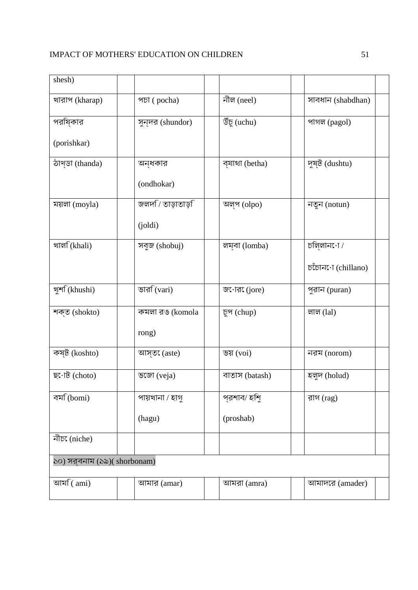| shesh)                       |                            |                     |                     |  |  |
|------------------------------|----------------------------|---------------------|---------------------|--|--|
| খারাপ (kharap)               | পচা (pocha)                | নীল (neel)          | সাবধান (shabdhan)   |  |  |
| পরষ্িকার                     | সুন্দর (shundor)           | উঁচু (uchu)         | পাগল (pagol)        |  |  |
| (porishkar)                  |                            |                     |                     |  |  |
| ঠাণ্ডা (thanda)              | অন্ধকার                    | ব্যাথা (betha)      | দুষ্ট (dushtu)      |  |  |
|                              | (ondhokar)                 |                     |                     |  |  |
| ময়লা (moyla)                | জলদ $\sqrt{r}$ তাড়াতাড় ি | অল্প (olpo)         | নতুন (notun)        |  |  |
|                              | $\text{(joldi)}$           |                     |                     |  |  |
| খাল <sup>(khali)</sup>       | সবুজ (shobuj)              | লম্বা (lomba)       | চলি্লান∙ো ⁄         |  |  |
|                              |                            |                     | DUING: T (chillano) |  |  |
| খুৰ্শ (khushi)               | ভার $f(vari)$              | জ $\cdot$ ার (jore) | পুরান (puran)       |  |  |
| শক্ত (shokto)                | কমলা রঙ (komola            | চুপ (chup)          | লাল $(lal)$         |  |  |
|                              | rong)                      |                     |                     |  |  |
| কষ্ট (koshto)                | আস্ত $($ aste $)$          | ভয় $(voi)$         | নরম (norom)         |  |  |
| ছ•োট (choto)                 | ভজো (veja)                 | বাতাস (batash)      | হলুদ (holud)        |  |  |
| বম <b>ি</b> (bomi)           | পায়খানা / হাগু            | প্রশাব/ হশিু        | রাগ $(\text{rag})$  |  |  |
|                              | (hagu)                     | (proshab)           |                     |  |  |
| নীচ্য (niche)                |                            |                     |                     |  |  |
| ১০) সর্বনাম (১৯)( shorbonam) |                            |                     |                     |  |  |
| আম $\widehat{a}$ (ami)       | আমার $(amar)$              | আমরা $(amra)$       | আমাদরে (amader)     |  |  |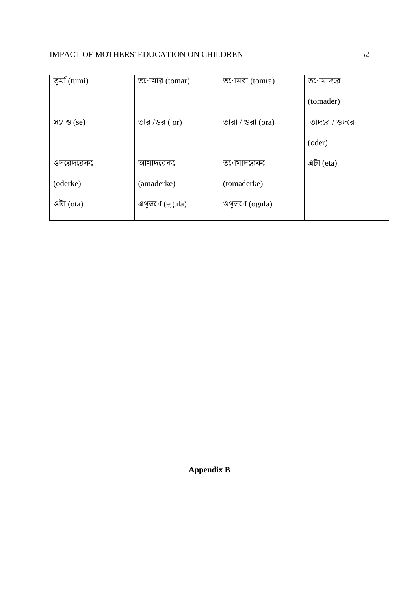| তুম $f(tumi)$         | ত•োমার (tomar)         | ত•োমরা (tomra)                 | ত∙োমাদরে     |
|-----------------------|------------------------|--------------------------------|--------------|
|                       |                        |                                |              |
|                       |                        |                                |              |
|                       |                        |                                | (tomader)    |
|                       |                        |                                |              |
|                       |                        |                                |              |
| স $\sqrt{3}$ (se)     | তার /ওর $($ or)        | তারা / ওরা $(ora)$             | তাদরে / ওদরে |
|                       |                        |                                |              |
|                       |                        |                                |              |
|                       |                        |                                |              |
|                       |                        |                                | (oder)       |
|                       |                        |                                |              |
|                       |                        |                                |              |
| ওদরেদরেক              | আমাদরেক                | ত∙োমাদরেক                      | এটা $eta)$   |
|                       |                        |                                |              |
|                       |                        |                                |              |
| (oderke)              | (amaderke)             | (tomaderke)                    |              |
|                       |                        |                                |              |
|                       |                        |                                |              |
|                       |                        |                                |              |
| $\mathcal{B}(\sigma)$ | এগুল $\cdot$ া (egula) | ওগুল $\cdot$ া $\cdot$ (ogula) |              |
|                       |                        |                                |              |
|                       |                        |                                |              |

**Appendix B**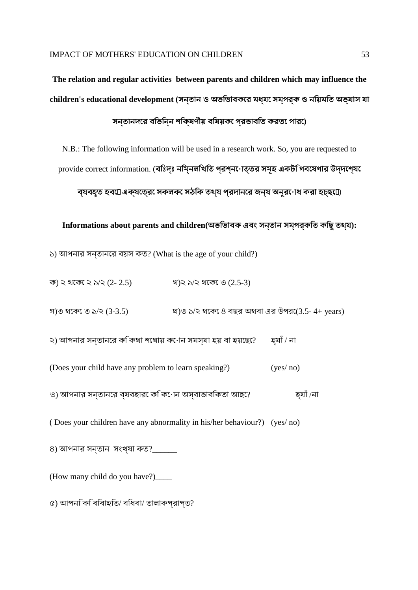# **The relation and regular activities between parents and children which may influence the children's educational development (**সন্তান ও অভিভাবকের মধ্যে সম্পর্ক ও নিয়মিত অভ্যাস যা

সন্তানদের বিভিন্ন শিক্ষণীয় বিষয়কে প্রভাবিত করতে পারে**)**

N.B.: The following information will be used in a research work. So, you are requested to provide correct information. (বঃিদ্ঃ নমিনলখিতি প্রশ্ন•োত্তর সমূহ একটগিবযেণার উদ্দশে্য

ব্যবহৃত হব*দ্রেক্ষতের* **সকলক** সঠকি তথ্য পরদানরে জন্য অনুরণেধ করা হচ্ছ*দে* 

**Informations about parents and children(**অভিভাবক এবং সন্তান সম্পর্কিত কিছুতথ্য**):**

১) আপনার সন্তানের বয়স কত? (What is the age of your child?)

ক) ২ থেকে ২ ১/২ (2- 2.5) খ)২ ১/২ থেকে ৩ (2.5-3)

গ)৩ থেকে ৩ ১/২ (3-3.5) ঘ)৩ ১/২ থেকে ৪ বছর অথবা এর উপরে(3.5- 4+ years)

২) আপনার সনতানরে ককিথা শখোয় কৰোন সমস্যা হয় বা হয়ছে? হ্যাঁ / না

(Does your child have any problem to learn speaking?) (yes/ no)

৩) আপনার সন্তানের ব্যবহারে কি কোন অস্বাভাবিকতা আছে? হ্যাঁ /না

( Does your children have any abnormality in his/her behaviour?) (yes/ no)

 $8)$  আপনার সন্তান সংখ্যা কত?\_\_\_\_\_\_

(How many child do you have?)\_\_\_\_

৫) আপনি কি বিবাহিত/ বিধবা/ তালাকপ্রাপ্ত?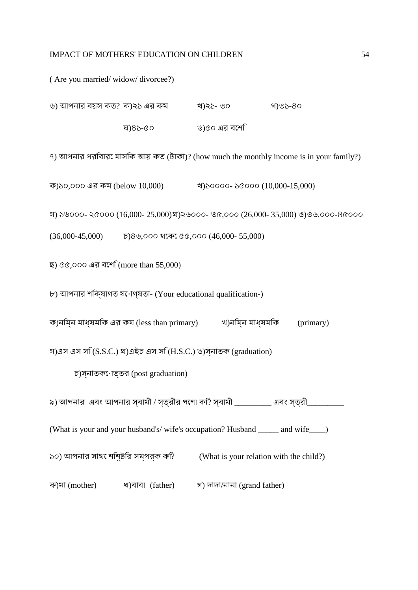( Are you married/ widow/ divorcee?)

| ৬) আপনার বয়স কত? ক)২১ এর কম |         | খ)২১- ৩০      | গ)৩১-৪০ |
|------------------------------|---------|---------------|---------|
|                              | ঘ)৪১-৫০ | ঙ)৫০ এর বর্শে |         |

৭) আপনার পরিবারে মাসিক আয় কত (টাকা)? (how much the monthly income is in your family?)

ক)১০,০০০ এর কম (below 10,000) খ)১০০০০- ১৫০০০ (10,000-15,000)

গ) ১৬০০০- ২৫০০০ (16,000- 25,000)ঘ)২৬০০০- ৩৫,০০০ (26,000- 35,000) ঙ)৩৬,০০০-৪৫০০০

(36,000-45,000) চ)৪৬,০০০ থেকে ৫৫,০০০ (46,000- 55,000)

```
ছ) ৫৫,০০০ এর বেশি (more than 55,000)
```
৮) আপনার শিক্ষাগত যোগ্যতা- (Your educational qualification-)

ক)নিম্ন মাধ্যমিক এর কম (less than primary) খ)নিম্ন মাধ্যমিক (primary)

গ)এস এস সি (S.S.C.) ঘ)এইচ এস সি (H.S.C.) ঙ)স্নাতক (graduation)

চ)স্নাতকোত্তর (post graduation)

৯) আপনার এবং আপনার স্বামী / স্ত্রীর পেশা কি? স্বামী \_\_\_\_\_\_\_\_\_ এবং স্ত্রী\_\_\_\_\_\_\_\_\_

(What is your and your husband's/ wife's occupation? Husband \_\_\_\_\_ and wife\_\_\_\_)

১০) আপনার সাথে শিশুটির সম্পর্ক কি? (What is your relation with the child?)

ক)মা (mother) খ)বাবা (father) গ) দাদা/নানা (grand father)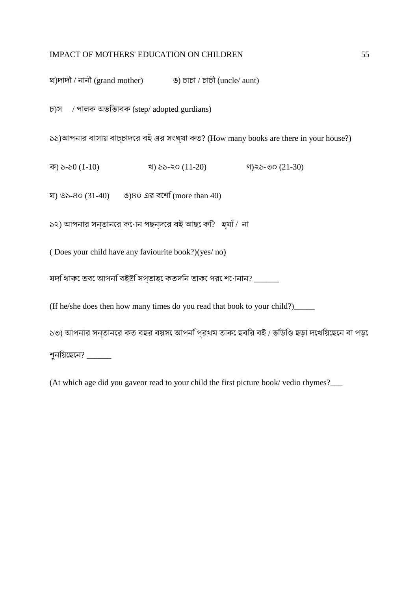ঘ)দাদী / নানী (grand mother) ঙ) চাচা / চাচী (uncle/ aunt)

চ)স / পালক অভিভাবক (step/ adopted gurdians)

১১)আপনার বাসায় বাচ্চাদের বই এর সংখ্যা কত? (How many books are there in your house?)

ক) ১-১0 (1-10) খ) ১১-২০ (11-20) গ)২১-৩০ (21-30)

ঘ) ৩১-৪০ (31-40) ঙ)৪০ এর বেশি (more than 40)

১২) আপনার সন্তানের কোন পছন্দের বই আছে কি? হ্যাঁ / না

( Does your child have any faviourite book?)(yes/ no)

যদি থাকে তবে আপনি বইটি সপ্তাহে কতদিন তাকে পরে শোনান? \_\_\_\_\_\_

(If he/she does then how many times do you read that book to your child?)\_\_\_\_\_

১৩) আপনার সন্তানের কত বছর বয়সে আপনি প্রথম তাকে ছবির বই / ভিডিও ছড়া দেখিয়েছেন বা পড়ে

শুনিয়েছেন? \_\_\_\_\_\_

(At which age did you gaveor read to your child the first picture book/ vedio rhymes?\_\_\_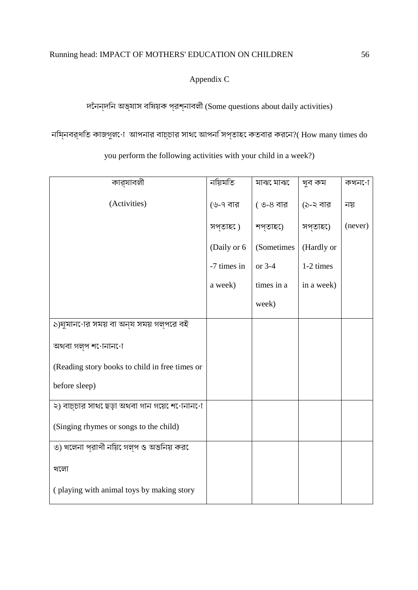Appendix C

দৈনন্দিন অভ্যাস বিষয়ক প্রশ্নাবলী (Some questions about daily activities)

নিম্নবর্ণিত কাজগুলো আপনার বাচ্চার সাথে আপনি সপ্তাহে কতবার করেন?( How many times do

you perform the following activities with your child in a week?)

| কার্যাবলী                                      | নয়িমতি     | মাঝ েমাঝ   | খুব কম     | কখন∙ো   |
|------------------------------------------------|-------------|------------|------------|---------|
| (Activities)                                   | (৬-৭ বার    | (৩-৪ বার   | (১-২ বার   | নয়     |
|                                                | সপ্তাহ0)    | শপ্তাহ)ে   | সপ্তাহ0    | (never) |
|                                                | (Daily or 6 | (Sometimes | (Hardly or |         |
|                                                | -7 times in | or 3-4     | 1-2 times  |         |
|                                                | a week)     | times in a | in a week) |         |
|                                                |             | week)      |            |         |
| ১)ঘুমান•োর সময় বা অন্য সময় গল্পরে বই         |             |            |            |         |
| অথবা গল্প শ∙োনান∙ো                             |             |            |            |         |
| (Reading story books to child in free times or |             |            |            |         |
| before sleep)                                  |             |            |            |         |
| ২) বাচ্চার সাথ েছড়া অথবা গান গয়ে েশ∙োনান∙ো   |             |            |            |         |
| (Singing rhymes or songs to the child)         |             |            |            |         |
| ৩) খলেনা প্রাণী নয়ি গেল্প ও অভনিয় কর         |             |            |            |         |
| খলো                                            |             |            |            |         |
| (playing with animal toys by making story      |             |            |            |         |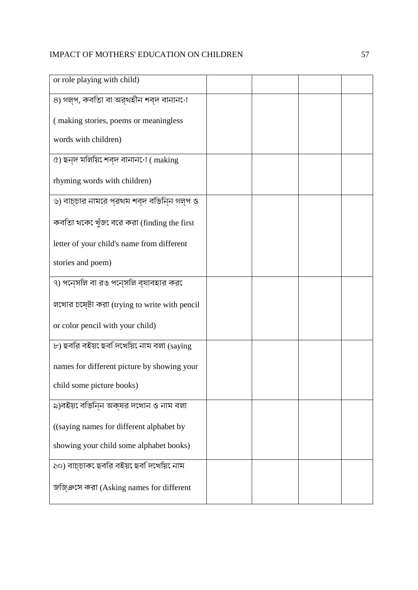| or role playing with child)                   |  |  |
|-----------------------------------------------|--|--|
| ৪) গল্প, কবতাি বা অর্থহীন শব্দ বানান∙ো        |  |  |
|                                               |  |  |
| (making stories, poems or meaningless         |  |  |
| words with children)                          |  |  |
| ৫) ছন্দ মলিয়ি েশব্দ বানান $\cdot$ া (making  |  |  |
| rhyming words with children)                  |  |  |
| ৬) বাচ্চার নামরে প্রথম শব্দ বভিন্নি গল্প ও    |  |  |
| কবতিা থকে খুঁজ বরে করা (finding the first     |  |  |
| letter of your child's name from different    |  |  |
| stories and poem)                             |  |  |
| ৭) পনে্সলি বা রঙ পনে্সলি ব্যাবহার করে         |  |  |
| লখোর চষ্টো করা (trying to write with pencil   |  |  |
| or color pencil with your child)              |  |  |
| $\nu$ ) ছবরি বইয় ছেব দিখেয়ি নাম বলা (saying |  |  |
| names for different picture by showing your   |  |  |
| child some picture books)                     |  |  |
| ৯)বইয় বেভিন্ন অক্ষর দখোন ও নাম বলা           |  |  |
| ((saying names for different alphabet by      |  |  |
| showing your child some alphabet books)       |  |  |
| ১০) বাচ্চাক েছবরি বইয় েছবনিখেয়ি নাম         |  |  |
| জজি্ঞসে করা (Asking names for different       |  |  |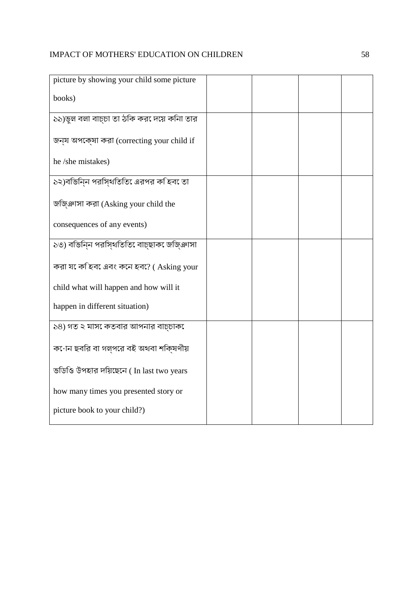| picture by showing your child some picture         |  |  |
|----------------------------------------------------|--|--|
| books)                                             |  |  |
| ১১)ভুল বলা বাচ্চা তা ঠকি কর েদয়ে কনিা তার         |  |  |
| জন্য অপকে্ষা করা (correcting your child if         |  |  |
| he /she mistakes)                                  |  |  |
| ১২)বভিনিন পরসিথতিতি এরপর কহিব েতা                  |  |  |
| জজ়িঞাসা করা (Asking your child the                |  |  |
| consequences of any events)                        |  |  |
| ১৩) বভিনিন পরসি্থতিতি বাচ্ছাক েজজিঞাসা             |  |  |
| করা য <sup>়ে</sup> ক হিব এবং কনে হব? (Asking your |  |  |
| child what will happen and how will it             |  |  |
| happen in different situation)                     |  |  |
| ১৪) গত ২ মাস েকতবার আপনার বাচ্চাক                  |  |  |
| ক•োন ছবরি বা গল্পরে বই অথবা শকি্ষণীয়              |  |  |
| ভডিওি উপহার দয়িছেনে (In last two years            |  |  |
| how many times you presented story or              |  |  |
| picture book to your child?)                       |  |  |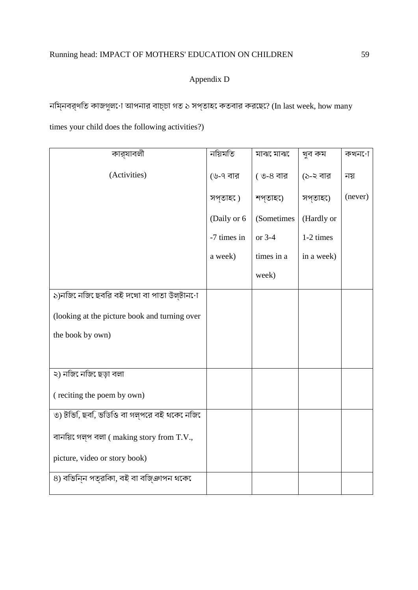## Appendix D

নিম্নবর্ণিত কাজগুলো আপনার বাচ্চা গত ১ সপ্তাহে কতবার করেছে? (In last week, how many

times your child does the following activities?)

| কার্যাবলী                                     | নয়িমতি     | মাঝ েমাঝ   | খুব কম     | কখন∙ো   |
|-----------------------------------------------|-------------|------------|------------|---------|
| (Activities)                                  | (৬-৭ বার    | ( ৩-৪ বার  | (১-২ বার   | নয়     |
|                                               | সপ্তাহ )    | শপ্তাহ)ে   | সপ্তাহ0ে   | (never) |
|                                               | (Daily or 6 | (Sometimes | (Hardly or |         |
|                                               | -7 times in | or 3-4     | 1-2 times  |         |
|                                               | a week)     | times in a | in a week) |         |
|                                               |             | week)      |            |         |
| ১)নজি েনজি ছেবরি বই দখো বা পাতা উল্টান∙ো      |             |            |            |         |
| (looking at the picture book and turning over |             |            |            |         |
| the book by own)                              |             |            |            |         |
|                                               |             |            |            |         |
| ২) নজি েনজি ছেড়া বলা                         |             |            |            |         |
| (reciting the poem by own)                    |             |            |            |         |
| ৩) টভি,ি ছব,ি ভডিওি বা গল্পরে বই থকে েনজি     |             |            |            |         |
| বানয়ি গেল্প বলা (making story from T.V.,     |             |            |            |         |
| picture, video or story book)                 |             |            |            |         |
| ৪) বভিনিন পত্রকিা, বই বা বজিঞাপন থকে          |             |            |            |         |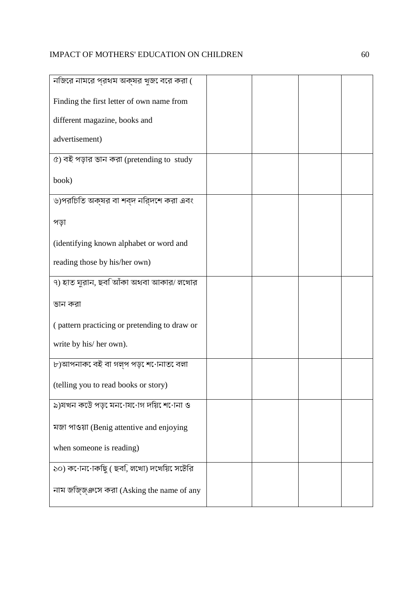| নজিরে নামরে প্রথম অক্ষর খুজ েবরে করা (       |  |  |
|----------------------------------------------|--|--|
| Finding the first letter of own name from    |  |  |
| different magazine, books and                |  |  |
| advertisement)                               |  |  |
| ৫) বই পড়ার ভান করা (pretending to study     |  |  |
| book)                                        |  |  |
| ৬)পরচিতি অক্ষর বা শব্দ নরি্দশে করা এবং       |  |  |
| পড়া                                         |  |  |
| (identifying known alphabet or word and      |  |  |
| reading those by his/her own)                |  |  |
| ৭) হাত ঘুরান, ছবজআঁকা অথবা আকার/ লখোর        |  |  |
| ভান করা                                      |  |  |
| (pattern practicing or pretending to draw or |  |  |
| write by his/ her own).                      |  |  |
| ৮)আপনাক েবই বা গল্প পড় েশ∙োনাত বেলা         |  |  |
| (telling you to read books or story)         |  |  |
| ৯)যখন কউে পড় েমন∙োয∙োগ দয়িশেোনা ও          |  |  |
| মজা পাওয়া (Benig attentive and enjoying     |  |  |
| when someone is reading)                     |  |  |
| ১০) ক∙োন∙োকছিু ( ছব,ি লখো) দখেয়ি়ে সটেরি    |  |  |
| নাম জজি্জ্ঞসে করা (Asking the name of any    |  |  |